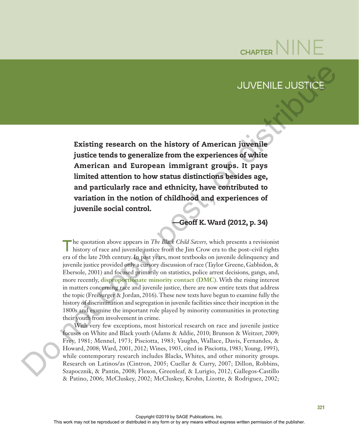# **CHAPTER**

# **JUVENILE JUST**

Existing research on the history of American juvenile justice tends to generalize from the experiences of white American and European immigrant groups. It pays limited attention to how status distinctions besides age, and particularly race and ethnicity, have contributed to variation in the notion of childhood and experiences of juvenile social control.

—Geoff K. Ward (2012, p. 34)

The quotation above appears in *The Black Child Savers*, which presents a revisionist history of race and juvenile justice from the Jim Crow era to the post–civil rights era of the late 20th century. In past years, most textbooks on juvenile delinquency and juvenile justice provided only a cursory discussion of race (Taylor Greene, Gabbidon, & Ebersole, 2001) and focused primarily on statistics, police arrest decisions, gangs, and, more recently, **disproportionate minority contact (DMC)**. With the rising interest in matters concerning race and juvenile justice, there are now entire texts that address the topic (Freiburger & Jordan, 2016). These new texts have begun to examine fully the history of discrimination and segregation in juvenile facilities since their inception in the 1800s and examine the important role played by minority communities in protecting their youth from involvement in crime. JUVENILE JUSTICE<br>
Existing research on the history of American fivolnile<br>
putied ends to generalize from the expressions of working<br>
American and European immigrant groups. It pays<br>
Imidd attention to how statistically sh

With very few exceptions, most historical research on race and juvenile justice focuses on White and Black youth (Adams & Addie, 2010; Brunson & Weitzer, 2009; Frey, 1981; Mennel, 1973; Pisciotta, 1983; Vaughn, Wallace, Davis, Fernandes, & Howard, 2008; Ward, 2001, 2012; Wines, 1903, cited in Pisciotta, 1983; Young, 1993), while contemporary research includes Blacks, Whites, and other minority groups. Research on Latinos/as (Cintron, 2005; Cuellar & Curry, 2007; Dillon, Robbins, Szapocznik, & Pantin, 2008; Flexon, Greenleaf, & Lurigio, 2012; Gallegos-Castillo & Patino, 2006; McCluskey, 2002; McCluskey, Krohn, Lizotte, & Rodriguez, 2002;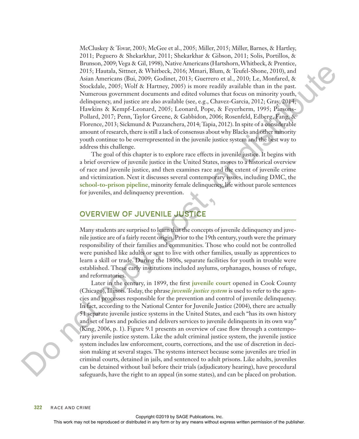McCluskey & Tovar, 2003; McGee et al., 2005; Miller, 2015; Miller, Barnes, & Hartley, 2011; Peguero & Shekarkhar, 2011; Shekarkhar & Gibson, 2011; Solis, Portillos, & Brunson, 2009; Vega & Gil, 1998), Native Americans (Hartshorn, Whitbeck, & Prentice, 2015; Hautala, Sittner, & Whitbeck, 2016; Mmari, Blum, & Teufel-Shone, 2010), and Asian Americans (Bui, 2009; Godinet, 2013; Guerrero et al., 2010; Le, Monfared, & Stockdale, 2005; Wolf & Hartney, 2005) is more readily available than in the past. Numerous government documents and edited volumes that focus on minority youth, delinquency, and justice are also available (see, e.g., Chavez-Garcia, 2012; Gray, 2014; Hawkins & Kempf-Leonard, 2005; Leonard, Pope, & Feyerherm, 1995; Parsons-Pollard, 2017; Penn, Taylor Greene, & Gabbidon, 2006; Rosenfeld, Edberg, Fang, & Florence, 2013; Sickmund & Puzzanchera, 2014; Tapia, 2012). In spite of a considerable amount of research, there is still a lack of consensus about why Blacks and other minority youth continue to be overrepresented in the juvenile justice system and the best way to address this challenge.

The goal of this chapter is to explore race effects in juvenile justice. It begins with a brief overview of juvenile justice in the United States, moves to a historical overview of race and juvenile justice, and then examines race and the extent of juvenile crime and victimization. Next it discusses several contemporary issues, including DMC, the **school-to-prison pipeline**, minority female delinquency, life without parole sentences for juveniles, and delinquency prevention.

# **OVERVIEW OF JUVENILE JUSTICE**

Many students are surprised to learn that the concepts of juvenile delinquency and juvenile justice are of a fairly recent origin. Prior to the 19th century, youth were the primary responsibility of their families and communities. Those who could not be controlled were punished like adults or sent to live with other families, usually as apprentices to learn a skill or trade. During the 1800s, separate facilities for youth in trouble were established. These early institutions included asylums, orphanages, houses of refuge, and reformatories.

Later in the century, in 1899, the first **juvenile court** opened in Cook County (Chicago), Illinois. Today, the phrase *juvenile justice system* is used to refer to the agencies and processes responsible for the prevention and control of juvenile delinquency. In fact, according to the National Center for Juvenile Justice (2004), there are actually 51 separate juvenile justice systems in the United States, and each "has its own history and set of laws and policies and delivers services to juvenile delinquents in its own way" (King, 2006, p. 1). Figure 9.1 presents an overview of case flow through a contemporary juvenile justice system. Like the adult criminal justice system, the juvenile justice system includes law enforcement, courts, corrections, and the use of discretion in decision making at several stages. The systems intersect because some juveniles are tried in criminal courts, detained in jails, and sentenced to adult prisons. Like adults, juveniles can be detained without bail before their trials (adjudicatory hearing), have procedural safeguards, have the right to an appeal (in some states), and can be placed on probation. This is more as the repression of the repression of the results in a relation of the reproduced or distributed in any form or by any form or by any means without express weak and the result of the the publisher in the pub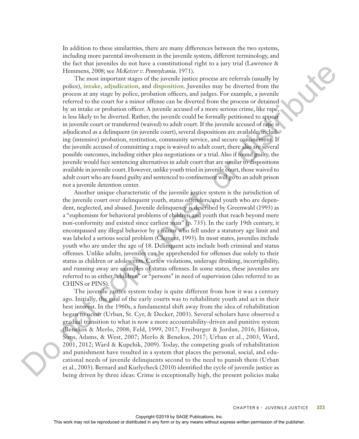In addition to these similarities, there are many differences between the two systems, including more parental involvement in the juvenile system, different terminology, and the fact that juveniles do not have a constitutional right to a jury trial (Lawrence  $\&$ Hemmens, 2008; see *McKeiver v. Pennsylvania,* 1971).

The most important stages of the juvenile justice process are referrals (usually by police), **intake**, **adjudication**, and **disposition**. Juveniles may be diverted from the process at any stage by police, probation officers, and judges. For example, a juvenile referred to the court for a minor offense can be diverted from the process or detained by an intake or probation officer. A juvenile accused of a more serious crime, like rape, is less likely to be diverted. Rather, the juvenile could be formally petitioned to appear in juvenile court or transferred (waived) to adult court. If the juvenile accused of rape is adjudicated as a delinquent (in juvenile court), several dispositions are available, including (intensive) probation, restitution, community service, and secure confinement. If the juvenile accused of committing a rape is waived to adult court, there also are several possible outcomes, including either plea negotiations or a trial. Also if found guilty, the juvenile would face sentencing alternatives in adult court that are similar to dispositions available in juvenile court. However, unlike youth tried in juvenile court, those waived to adult court who are found guilty and sentenced to confinement will go to an adult prison not a juvenile detention center. The mean of the reproduced or distributed or distributed or distributed in any form or by any means with the reproduced in any means with the publisher of the syres of the distributed in any means of the distributed in an

Another unique characteristic of the juvenile justice system is the jurisdiction of the juvenile court over delinquent youth, status offenders, and youth who are dependent, neglected, and abused. Juvenile delinquency is described by Greenwald (1993) as a "euphemism for behavioral problems of children and youth that reach beyond mere non-conformity and existed since earliest man" (p. 735). In the early 19th century, it encompassed any illegal behavior by a minor who fell under a statutory age limit and was labeled a serious social problem (Clement, 1993). In most states, juveniles include youth who are under the age of 18. Delinquent acts include both criminal and status offenses. Unlike adults, juveniles can be apprehended for offenses due solely to their status as children or adolescents. Curfew violations, underage drinking, incorrigibility, and running away are examples of status offenses. In some states, these juveniles are referred to as either "children" or "persons" in need of supervision (also referred to as CHINS or PINS).

The juvenile justice system today is quite different from how it was a century ago. Initially, the goal of the early courts was to rehabilitate youth and act in their best interest. In the 1960s, a fundamental shift away from the idea of rehabilitation began to occur (Urban, St. Cyr, & Decker, 2003). Several scholars have observed a gradual transition to what is now a more accountability-driven and punitive system (Benekos & Merlo, 2008; Feld, 1999, 2017; Freiburger & Jordan, 2016; Hinton, Sims, Adams, & West, 2007; Merlo & Benekos, 2017; Urban et al., 2003; Ward, 2001, 2012; Ward & Kupchik, 2009). Today, the competing goals of rehabilitation and punishment have resulted in a system that places the personal, social, and educational needs of juvenile delinquents second to the need to punish them (Urban et al., 2003). Bernard and Kurlycheck (2010) identified the cycle of juvenile justice as being driven by three ideas: Crime is exceptionally high, the present policies make

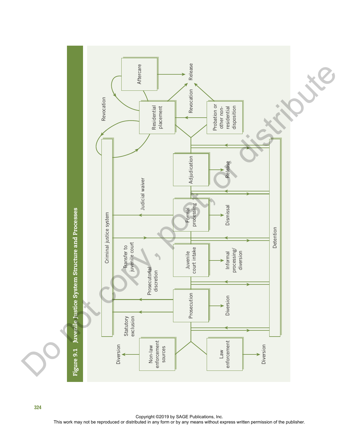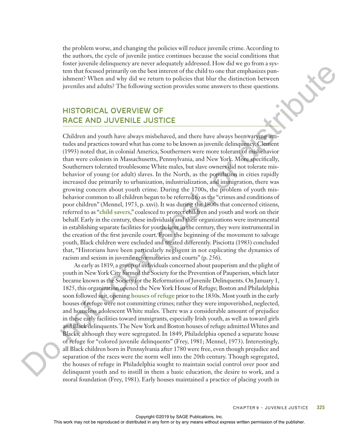the problem worse, and changing the policies will reduce juvenile crime. According to the authors, the cycle of juvenile justice continues because the social conditions that foster juvenile delinquency are never adequately addressed. How did we go from a system that focused primarily on the best interest of the child to one that emphasizes punishment? When and why did we return to policies that blur the distinction between juveniles and adults? The following section provides some answers to these questions.

# **HISTORICAL OVERVIEW OF RACE AND JUVENILE JUSTICE**

Children and youth have always misbehaved, and there have always been varying attitudes and practices toward what has come to be known as juvenile delinquency. Clement (1993) noted that, in colonial America, Southerners were more tolerant of misbehavior than were colonists in Massachusetts, Pennsylvania, and New York. More specifically, Southerners tolerated troublesome White males, but slave owners did not tolerate misbehavior of young (or adult) slaves. In the North, as the population in cities rapidly increased due primarily to urbanization, industrialization, and immigration, there was growing concern about youth crime. During the 1700s, the problem of youth misbehavior common to all children began to be referred to as the "crimes and conditions of poor children" (Mennel, 1973, p. xxvi). It was during the 1800s that concerned citizens, referred to as "**child savers**," coalesced to protect children and youth and work on their behalf. Early in the century, these individuals and their organizations were instrumental in establishing separate facilities for youth; later in the century, they were instrumental in the creation of the first juvenile court. From the beginning of the movement to salvage youth, Black children were excluded and treated differently. Pisciotta (1983) concluded that, "Historians have been particularly negligent in not explicating the dynamics of racism and sexism in juvenile reformatories and courts" (p. 256). The results of the results with the results of the form of the publisher permission or the results of the results of the results of the results of the publisher. The form of the publisher of the publishers and statistic i

As early as 1819, a group of individuals concerned about pauperism and the plight of youth in New York City formed the Society for the Prevention of Pauperism, which later became known as the Society for the Reformation of Juvenile Delinquents. On January 1, 1825, this organization opened the New York House of Refuge; Boston and Philadelphia soon followed suit, opening **houses of refuge** prior to the 1830s. Most youth in the early houses of refuge were not committing crimes; rather they were impoverished, neglected, and homeless adolescent White males. There was a considerable amount of prejudice in these early facilities toward immigrants, especially Irish youth, as well as toward girls and Black delinquents. The New York and Boston houses of refuge admitted Whites and Blacks, although they were segregated. In 1849, Philadelphia opened a separate house of refuge for "colored juvenile delinquents" (Frey, 1981; Mennel, 1973). Interestingly, all Black children born in Pennsylvania after 1780 were free, even though prejudice and separation of the races were the norm well into the 20th century. Though segregated, the houses of refuge in Philadelphia sought to maintain social control over poor and delinquent youth and to instill in them a basic education, the desire to work, and a moral foundation (Frey, 1981). Early houses maintained a practice of placing youth in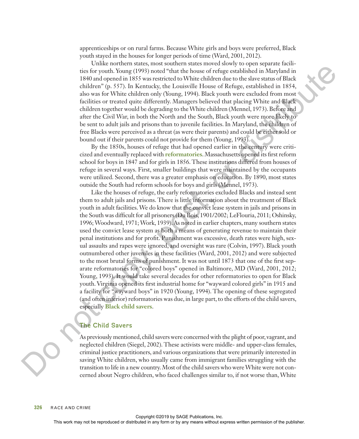apprenticeships or on rural farms. Because White girls and boys were preferred, Black youth stayed in the houses for longer periods of time (Ward, 2001, 2012).

Unlike northern states, most southern states moved slowly to open separate facilities for youth. Young (1993) noted "that the house of refuge established in Maryland in 1840 and opened in 1855 was restricted to White children due to the slave status of Black children" (p. 557). In Kentucky, the Louisville House of Refuge, established in 1854, also was for White children only (Young, 1994). Black youth were excluded from most facilities or treated quite differently. Managers believed that placing White and Black children together would be degrading to the White children (Mennel, 1973). Before and after the Civil War, in both the North and the South, Black youth were more likely to be sent to adult jails and prisons than to juvenile facilities. In Maryland, the children of free Blacks were perceived as a threat (as were their parents) and could be either sold or bound out if their parents could not provide for them (Young, 1993).

By the 1850s, houses of refuge that had opened earlier in the century were criticized and eventually replaced with **reformatories**. Massachusetts opened its first reform school for boys in 1847 and for girls in 1856. These institutions differed from houses of refuge in several ways. First, smaller buildings that were maintained by the occupants were utilized. Second, there was a greater emphasis on education. By 1890, most states outside the South had reform schools for boys and girls (Mennel, 1973).

Like the houses of refuge, the early reformatories excluded Blacks and instead sent them to adult jails and prisons. There is little information about the treatment of Black youth in adult facilities. We do know that the convict lease system in jails and prisons in the South was difficult for all prisoners (Du Bois, 1901/2002; LeFlouria, 2011; Oshinsky, 1996; Woodward, 1971; Work, 1939). As noted in earlier chapters, many southern states used the convict lease system as both a means of generating revenue to maintain their penal institutions and for profit. Punishment was excessive, death rates were high, sexual assaults and rapes were ignored, and oversight was rare (Colvin, 1997). Black youth outnumbered other juveniles in these facilities (Ward, 2001, 2012) and were subjected to the most brutal forms of punishment. It was not until 1873 that one of the first separate reformatories for "colored boys" opened in Baltimore, MD (Ward, 2001, 2012; Young, 1993). It would take several decades for other reformatories to open for Black youth. Virginia opened its first industrial home for "wayward colored girls" in 1915 and a facility for "wayward boys" in 1920 (Young, 1994). The opening of these segregated (and often inferior) reformatories was due, in large part, to the efforts of the child savers, especially **Black child savers**. The Rey possible control (1993) (noted that the boson or distributed in Any form or by any form or boson for the repression of the publisher of the publisher of the publisher of the publisher. This is a some for NHz diali

# **The Child Savers**

As previously mentioned, child savers were concerned with the plight of poor, vagrant, and neglected children (Siegel, 2002). These activists were middle- and upper-class females, criminal justice practitioners, and various organizations that were primarily interested in saving White children, who usually came from immigrant families struggling with the transition to life in a new country. Most of the child savers who were White were not concerned about Negro children, who faced challenges similar to, if not worse than, White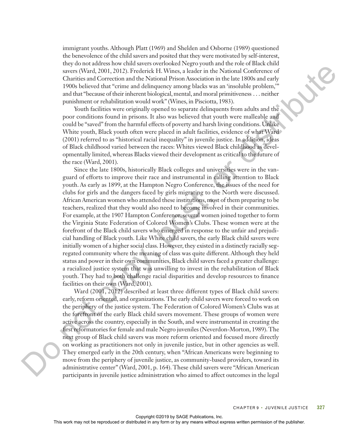immigrant youths. Although Platt (1969) and Shelden and Osborne (1989) questioned the benevolence of the child savers and posited that they were motivated by self-interest, they do not address how child savers overlooked Negro youth and the role of Black child savers (Ward, 2001, 2012). Frederick H. Wines, a leader in the National Conference of Charities and Correction and the National Prison Association in the late 1800s and early 1900s believed that "crime and delinquency among blacks was an 'insoluble problem,'" and that "because of their inherent biological, mental, and moral primitiveness . . . neither punishment or rehabilitation would work" (Wines, in Pisciotta, 1983).

Youth facilities were originally opened to separate delinquents from adults and the poor conditions found in prisons. It also was believed that youth were malleable and could be "saved" from the harmful effects of poverty and harsh living conditions. Unlike White youth, Black youth often were placed in adult facilities, evidence of what Ward (2001) referred to as "historical racial inequality" in juvenile justice. In addition, ideas of Black childhood varied between the races: Whites viewed Black childhood as developmentally limited, whereas Blacks viewed their development as critical to the future of the race (Ward, 2001).

Since the late 1800s, historically Black colleges and universities were in the vanguard of efforts to improve their race and instrumental in calling attention to Black youth. As early as 1899, at the Hampton Negro Conference, the issues of the need for clubs for girls and the dangers faced by girls migrating to the North were discussed. African American women who attended these institutions, most of them preparing to be teachers, realized that they would also need to become involved in their communities. For example, at the 1907 Hampton Conference, several women joined together to form the Virginia State Federation of Colored Women's Clubs. These women were at the forefront of the Black child savers who emerged in response to the unfair and prejudicial handling of Black youth. Like White child savers, the early Black child savers were initially women of a higher social class. However, they existed in a distinctly racially segregated community where the meaning of class was quite different. Although they held status and power in their own communities, Black child savers faced a greater challenge: a racialized justice system that was unwilling to invest in the rehabilitation of Black youth. They had to both challenge racial disparities and develop resources to finance facilities on their own (Ward, 2001). The control or the state of the repression of the rest in any form in a state of the rest or distributed in any form or by any means when the rest or the publisher of the publisher or the publisher or the publisher or the

Ward (2001, 2012) described at least three different types of Black child savers: early, reform oriented, and organizations. The early child savers were forced to work on the periphery of the justice system. The Federation of Colored Women's Clubs was at the forefront of the early Black child savers movement. These groups of women were active across the country, especially in the South, and were instrumental in creating the first reformatories for female and male Negro juveniles (Neverdon-Morton, 1989). The next group of Black child savers was more reform oriented and focused more directly on working as practitioners not only in juvenile justice, but in other agencies as well. They emerged early in the 20th century, when "African Americans were beginning to move from the periphery of juvenile justice, as community-based providers, toward its administrative center" (Ward, 2001, p. 164). These child savers were "African American participants in juvenile justice administration who aimed to affect outcomes in the legal

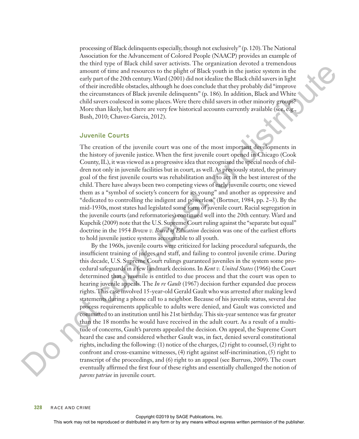processing of Black delinquents especially, though not exclusively" (p. 120). The National Association for the Advancement of Colored People (NAACP) provides an example of the third type of Black child saver activists. The organization devoted a tremendous amount of time and resources to the plight of Black youth in the justice system in the early part of the 20th century. Ward (2001) did not idealize the Black child savers in light of their incredible obstacles, although he does conclude that they probably did "improve the circumstances of Black juvenile delinquents" (p. 186). In addition, Black and White child savers coalesced in some places. Were there child savers in other minority groups? More than likely, but there are very few historical accounts currently available (see, e.g., Bush, 2010; Chavez-Garcia, 2012).

# **Juvenile Courts**

The creation of the juvenile court was one of the most important developments in the history of juvenile justice. When the first juvenile court opened in Chicago (Cook County, IL), it was viewed as a progressive idea that recognized the special needs of children not only in juvenile facilities but in court, as well. As previously stated, the primary goal of the first juvenile courts was rehabilitation and to act in the best interest of the child. There have always been two competing views of early juvenile courts; one viewed them as a "symbol of society's concern for its young" and another as oppressive and "dedicated to controlling the indigent and powerless" (Bortner, 1984, pp. 2–3). By the mid-1930s, most states had legislated some form of juvenile court. Racial segregation in the juvenile courts (and reformatories) continued well into the 20th century. Ward and Kupchik (2009) note that the U.S. Supreme Court ruling against the "separate but equal" doctrine in the 1954 *Brown v. Board of Education* decision was one of the earliest efforts to hold juvenile justice systems accountable to all youth.

By the 1960s, juvenile courts were criticized for lacking procedural safeguards, the insufficient training of judges and staff, and failing to control juvenile crime. During this decade, U.S. Supreme Court rulings guaranteed juveniles in the system some procedural safeguards in a few landmark decisions. In *Kent v. United States* (1966) the Court determined that a juvenile is entitled to due process and that the court was open to hearing juvenile appeals. The *In re Gault* (1967) decision further expanded due process rights. This case involved 15-year-old Gerald Gault who was arrested after making lewd statements during a phone call to a neighbor. Because of his juvenile status, several due process requirements applicable to adults were denied, and Gault was convicted and committed to an institution until his 21st birthday. This six-year sentence was far greater than the 18 months he would have received in the adult court. As a result of a multitude of concerns, Gault's parents appealed the decision. On appeal, the Supreme Court heard the case and considered whether Gault was, in fact, denied several constitutional rights, including the following: (1) notice of the charges, (2) right to counsel, (3) right to confront and cross-examine witnesses, (4) right against self-incrimination, (5) right to transcript of the proceedings, and (6) right to an appeal (see Burruss, 2009). The court eventually affirmed the first four of these rights and essentially challenged the notion of *parens patriae* in juvenile court. means of the reproduced or distributed in a may not be repressed or distributed in a may not be represented in the publisher. The publisher and the repression of the repression of the repression of the publisher. This con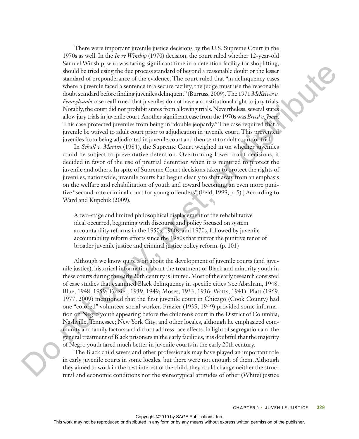There were important juvenile justice decisions by the U.S. Supreme Court in the 1970s as well. In the *In re Winship* (1970) decision, the court ruled whether 12-year-old Samuel Winship, who was facing significant time in a detention facility for shoplifting, should be tried using the due process standard of beyond a reasonable doubt or the lesser standard of preponderance of the evidence. The court ruled that "in delinquency cases where a juvenile faced a sentence in a secure facility, the judge must use the reasonable doubt standard before finding juveniles delinquent" (Burruss, 2009). The 1971 *McKeiver v. Pennsylvania* case reaffirmed that juveniles do not have a constitutional right to jury trials. Notably, the court did not prohibit states from allowing trials. Nevertheless, several states allow jury trials in juvenile court. Another significant case from the 1970s was *Breed v. Jones*. This case protected juveniles from being in "double jeopardy." The case required that a juvenile be waived to adult court prior to adjudication in juvenile court. This prevented juveniles from being adjudicated in juvenile court and then sent to adult court for trial.

In *Schall v. Martin* (1984), the Supreme Court weighed in on whether juveniles could be subject to preventative detention. Overturning lower court decisions, it decided in favor of the use of pretrial detention when it is required to protect the juvenile and others. In spite of Supreme Court decisions taken to protect the rights of juveniles, nationwide, juvenile courts had begun clearly to shift away from an emphasis on the welfare and rehabilitation of youth and toward becoming an even more punitive "second-rate criminal court for young offenders" (Feld, 1999, p. 5).] According to Ward and Kupchik (2009),

A two-stage and limited philosophical displacement of the rehabilitative ideal occurred, beginning with discourse and policy focused on system accountability reforms in the 1950s, 1960s, and 1970s, followed by juvenile accountability reform efforts since the 1980s that mirror the punitive tenor of broader juvenile justice and criminal justice policy reform. (p. 101)

Although we know quite a bit about the development of juvenile courts (and juvenile justice), historical information about the treatment of Black and minority youth in these courts during the early 20th century is limited. Most of the early research consisted of case studies that examined Black delinquency in specific cities (see Abraham, 1948; Blue, 1948, 1959; Frazier, 1939, 1949; Moses, 1933, 1936; Watts, 1941). Platt (1969, 1977, 2009) mentioned that the first juvenile court in Chicago (Cook County) had one "colored" volunteer social worker. Frazier (1939, 1949) provided some information on Negro youth appearing before the children's court in the District of Columbia; Nashville, Tennessee; New York City; and other locales, although he emphasized community and family factors and did not address race effects. In light of segregation and the general treatment of Black prisoners in the early facilities, it is doubtful that the majority of Negro youth fared much better in juvenile courts in the early 20th century. The the treat term is the representation of repression of the rest is enter the best measure of the systems with the rest is entered in any means with the publisher. This with the publisher is enter the enterpret in any m

The Black child savers and other professionals may have played an important role in early juvenile courts in some locales, but there were not enough of them. Although they aimed to work in the best interest of the child, they could change neither the structural and economic conditions nor the stereotypical attitudes of other (White) justice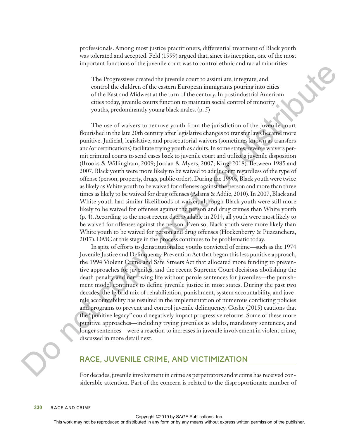professionals. Among most justice practitioners, differential treatment of Black youth was tolerated and accepted. Feld (1999) argued that, since its inception, one of the most important functions of the juvenile court was to control ethnic and racial minorities:

The Progressives created the juvenile court to assimilate, integrate, and control the children of the eastern European immigrants pouring into cities of the East and Midwest at the turn of the century. In postindustrial American cities today, juvenile courts function to maintain social control of minority youths, predominantly young black males. (p. 5)

The use of waivers to remove youth from the jurisdiction of the juvenile court flourished in the late 20th century after legislative changes to transfer laws became more punitive. Judicial, legislative, and prosecutorial waivers (sometimes known as transfers and/or certifications) facilitate trying youth as adults. In some states, reverse waivers permit criminal courts to send cases back to juvenile court and utilize a juvenile disposition (Brooks & Willingham, 2009; Jordan & Myers, 2007; King, 2018). Between 1985 and 2007, Black youth were more likely to be waived to adult court regardless of the type of offense (person, property, drugs, public order). During the 1990s, Black youth were twice as likely as White youth to be waived for offenses against the person and more than three times as likely to be waived for drug offenses (Adams & Addie, 2010). In 2007, Black and White youth had similar likelihoods of waiver, although Black youth were still more likely to be waived for offenses against the person and drug crimes than White youth (p. 4). According to the most recent data available in 2014, all youth were most likely to be waived for offenses against the person. Even so, Black youth were more likely than White youth to be waived for person and drug offenses (Hockenberry & Puzzanchera, 2017). DMC at this stage in the process continues to be problematic today. The Propositive created bit procedure control in equilibuted in any form or between the change or positive distributed in the any means when the state any form or between the publishering permission of the both publishers

In spite of efforts to deinstitutionalize youths convicted of crime—such as the 1974 Juvenile Justice and Delinquency Prevention Act that began this less punitive approach, the 1994 Violent Crime and Safe Streets Act that allocated more funding to preventive approaches for juveniles, and the recent Supreme Court decisions abolishing the death penalty and narrowing life without parole sentences for juveniles—the punishment model continues to define juvenile justice in most states. During the past two decades, the hybrid mix of rehabilitation, punishment, system accountability, and juvenile accountability has resulted in the implementation of numerous conflicting policies and programs to prevent and control juvenile delinquency. Goshe (2015) cautions that the "punitive legacy" could negatively impact progressive reforms. Some of these more punitive approaches—including trying juveniles as adults, mandatory sentences, and longer sentences—were a reaction to increases in juvenile involvement in violent crime, discussed in more detail next.

# **RACE, JUVENILE CRIME, AND VICTIMIZATION**

For decades, juvenile involvement in crime as perpetrators and victims has received considerable attention. Part of the concern is related to the disproportionate number of

**330** RACE AND CRIME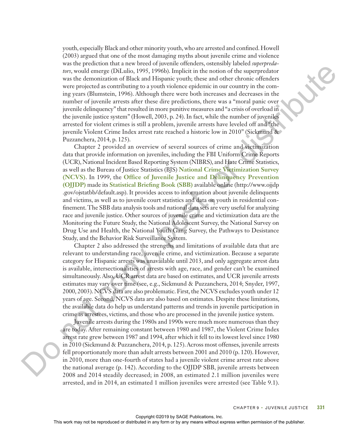youth, especially Black and other minority youth, who are arrested and confined. Howell (2003) argued that one of the most damaging myths about juvenile crime and violence was the prediction that a new breed of juvenile offenders, ostensibly labeled *superpredators*, would emerge (DiLulio, 1995, 1996b). Implicit in the notion of the superpredator was the demonization of Black and Hispanic youth; these and other chronic offenders were projected as contributing to a youth violence epidemic in our country in the coming years (Blumstein, 1996). Although there were both increases and decreases in the number of juvenile arrests after these dire predictions, there was a "moral panic over juvenile delinquency" that resulted in more punitive measures and "a crisis of overload in the juvenile justice system" (Howell, 2003, p. 24). In fact, while the number of juveniles arrested for violent crimes is still a problem, juvenile arrests have leveled off and "the juvenile Violent Crime Index arrest rate reached a historic low in 2010" (Sickmund & Puzzanchera, 2014, p. 125).

Chapter 2 provided an overview of several sources of crime and victimization data that provide information on juveniles, including the FBI Uniform Crime Reports (UCR), National Incident Based Reporting System (NIBRS), and Hate Crime Statistics, as well as the Bureau of Justice Statistics (BJS) **National Crime Victimization Survey (NCVS)**. In 1999, the **Office of Juvenile Justice and Delinquency Prevention (OJJDP)** made its **Statistical Briefing Book (SBB)** available online (http://www.ojjdp .gov/ojstatbb/default.asp). It provides access to information about juvenile delinquents and victims, as well as to juvenile court statistics and data on youth in residential confinement. The SBB data analysis tools and national data sets are very useful for analyzing race and juvenile justice. Other sources of juvenile crime and victimization data are the Monitoring the Future Study, the National Adolescent Survey, the National Survey on Drug Use and Health, the National Youth Gang Survey, the Pathways to Desistance Study, and the Behavior Risk Surveillance System. me, work may not be repressed or distributed in any form of the restrict or the restrict or or distributed in any means we provide the restrict to any means we provide the publisher. The results of the publisher of the pu

Chapter 2 also addressed the strengths and limitations of available data that are relevant to understanding race, juvenile crime, and victimization. Because a separate category for Hispanic arrests was unavailable until 2013, and only aggregate arrest data is available, intersectionalities of arrests with age, race, and gender can't be examined simultaneously. Also, UCR arrest data are based on estimates, and UCR juvenile arrests estimates may vary over time (see, e.g., Sickmund & Puzzanchera, 2014; Snyder, 1997, 2000, 2003). NCVS data are also problematic. First, the NCVS excludes youth under 12 years of age. Second, NCVS data are also based on estimates. Despite these limitations, the available data do help us understand patterns and trends in juvenile participation in crime as arrestees, victims, and those who are processed in the juvenile justice system.

Juvenile arrests during the 1980s and 1990s were much more numerous than they are today. After remaining constant between 1980 and 1987, the Violent Crime Index arrest rate grew between 1987 and 1994, after which it fell to its lowest level since 1980 in 2010 (Sickmund & Puzzanchera, 2014, p. 125). Across most offenses, juvenile arrests fell proportionately more than adult arrests between 2001 and 2010 (p. 120). However, in 2010, more than one-fourth of states had a juvenile violent crime arrest rate above the national average (p. 142). According to the OJJDP SBB, juvenile arrests between 2008 and 2014 steadily decreased; in 2008, an estimated 2.1 million juveniles were arrested, and in 2014, an estimated 1 million juveniles were arrested (see Table 9.1).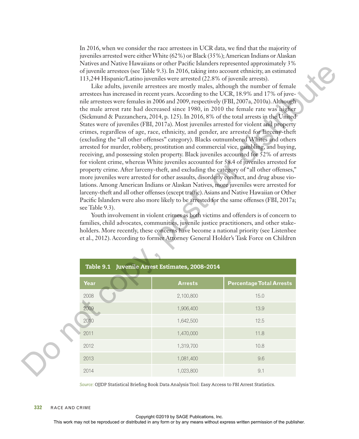In 2016, when we consider the race arrestees in UCR data, we find that the majority of juveniles arrested were either White (62%) or Black (35%); American Indians or Alaskan Natives and Native Hawaiians or other Pacific Islanders represented approximately 3% of juvenile arrestees (see Table 9.3). In 2016, taking into account ethnicity, an estimated 113,244 Hispanic/Latino juveniles were arrested (22.8% of juvenile arrests).

|                       | see Table 9.3).                                                                                                                 | 113,244 Hispanic/Latino juveniles were arrested (22.8% of juvenile arrests).<br>Table 9.1 Juvenile Arrest Estimates, 2008-2014 | $\alpha$ and $\alpha$ value 1 tax analyses on the radius blance is represented approximately 9.70<br>of juvenile arrestees (see Table 9.3). In 2016, taking into account ethnicity, an estimated<br>Like adults, juvenile arrestees are mostly males, although the number of female<br>arrestees has increased in recent years. According to the UCR, 18.9% and 17% of juve-<br>nile arrestees were females in 2006 and 2009, respectively (FBI, 2007a, 2010a). Although<br>the male arrest rate had decreased since 1980, in 2010 the female rate was higher<br>(Sickmund & Puzzanchera, 2014, p. 125). In 2016, 8% of the total arrests in the United<br>States were of juveniles (FBI, 2017a). Most juveniles arrested for violent and property<br>crimes, regardless of age, race, ethnicity, and gender, are arrested for larceny-theft<br>(excluding the "all other offenses" category). Blacks outnumbered Whites and others<br>arrested for murder, robbery, prostitution and commercial vice, gambling, and buying,<br>receiving, and possessing stolen property. Black juveniles accounted for 52% of arrests<br>for violent crime, whereas White juveniles accounted for 58.4 of juveniles arrested for<br>property crime. After larceny-theft, and excluding the category of "all other offenses,"<br>more juveniles were arrested for other assaults, disorderly conduct, and drug abuse vio-<br>lations. Among American Indians or Alaskan Natives, more juveniles were arrested for<br>larceny-theft and all other offenses (except traffic). Asians and Native Hawaiian or Other<br>Pacific Islanders were also more likely to be arrested for the same offenses (FBI, 2017a;<br>Youth involvement in violent crimes as both victims and offenders is of concern to<br>families, child advocates, communities, juvenile justice practitioners, and other stake-<br>holders. More recently, these concerns have become a national priority (see Listenbee<br>et al., 2012). According to former Attorney General Holder's Task Force on Children |  |
|-----------------------|---------------------------------------------------------------------------------------------------------------------------------|--------------------------------------------------------------------------------------------------------------------------------|-----------------------------------------------------------------------------------------------------------------------------------------------------------------------------------------------------------------------------------------------------------------------------------------------------------------------------------------------------------------------------------------------------------------------------------------------------------------------------------------------------------------------------------------------------------------------------------------------------------------------------------------------------------------------------------------------------------------------------------------------------------------------------------------------------------------------------------------------------------------------------------------------------------------------------------------------------------------------------------------------------------------------------------------------------------------------------------------------------------------------------------------------------------------------------------------------------------------------------------------------------------------------------------------------------------------------------------------------------------------------------------------------------------------------------------------------------------------------------------------------------------------------------------------------------------------------------------------------------------------------------------------------------------------------------------------------------------------------------------------------------------------------------------------------------------------------------------------------------------------------------------------------------------------------------------------------------------------------------------------------------------------------------------------------------------------|--|
|                       | Year                                                                                                                            | <b>Arrests</b>                                                                                                                 | <b>Percentage Total Arrests</b>                                                                                                                                                                                                                                                                                                                                                                                                                                                                                                                                                                                                                                                                                                                                                                                                                                                                                                                                                                                                                                                                                                                                                                                                                                                                                                                                                                                                                                                                                                                                                                                                                                                                                                                                                                                                                                                                                                                                                                                                                                 |  |
|                       | 2008                                                                                                                            | 2,100,800                                                                                                                      | 15.0                                                                                                                                                                                                                                                                                                                                                                                                                                                                                                                                                                                                                                                                                                                                                                                                                                                                                                                                                                                                                                                                                                                                                                                                                                                                                                                                                                                                                                                                                                                                                                                                                                                                                                                                                                                                                                                                                                                                                                                                                                                            |  |
|                       | 2009                                                                                                                            | 1,906,400                                                                                                                      | 13.9                                                                                                                                                                                                                                                                                                                                                                                                                                                                                                                                                                                                                                                                                                                                                                                                                                                                                                                                                                                                                                                                                                                                                                                                                                                                                                                                                                                                                                                                                                                                                                                                                                                                                                                                                                                                                                                                                                                                                                                                                                                            |  |
|                       | 2010                                                                                                                            | 1,642,500                                                                                                                      | 12.5                                                                                                                                                                                                                                                                                                                                                                                                                                                                                                                                                                                                                                                                                                                                                                                                                                                                                                                                                                                                                                                                                                                                                                                                                                                                                                                                                                                                                                                                                                                                                                                                                                                                                                                                                                                                                                                                                                                                                                                                                                                            |  |
|                       | 2011                                                                                                                            | 1,470,000                                                                                                                      | 11.8                                                                                                                                                                                                                                                                                                                                                                                                                                                                                                                                                                                                                                                                                                                                                                                                                                                                                                                                                                                                                                                                                                                                                                                                                                                                                                                                                                                                                                                                                                                                                                                                                                                                                                                                                                                                                                                                                                                                                                                                                                                            |  |
|                       | 2012                                                                                                                            | 1,319,700                                                                                                                      | 10.8                                                                                                                                                                                                                                                                                                                                                                                                                                                                                                                                                                                                                                                                                                                                                                                                                                                                                                                                                                                                                                                                                                                                                                                                                                                                                                                                                                                                                                                                                                                                                                                                                                                                                                                                                                                                                                                                                                                                                                                                                                                            |  |
|                       | 2013                                                                                                                            | 1,081,400                                                                                                                      | 9.6                                                                                                                                                                                                                                                                                                                                                                                                                                                                                                                                                                                                                                                                                                                                                                                                                                                                                                                                                                                                                                                                                                                                                                                                                                                                                                                                                                                                                                                                                                                                                                                                                                                                                                                                                                                                                                                                                                                                                                                                                                                             |  |
|                       | 2014                                                                                                                            | 1,023,800                                                                                                                      | 9.1                                                                                                                                                                                                                                                                                                                                                                                                                                                                                                                                                                                                                                                                                                                                                                                                                                                                                                                                                                                                                                                                                                                                                                                                                                                                                                                                                                                                                                                                                                                                                                                                                                                                                                                                                                                                                                                                                                                                                                                                                                                             |  |
| 332<br>RACE AND CRIME |                                                                                                                                 | Source: OJJDP Statistical Briefing Book Data Analysis Tool: Easy Access to FBI Arrest Statistics.                              |                                                                                                                                                                                                                                                                                                                                                                                                                                                                                                                                                                                                                                                                                                                                                                                                                                                                                                                                                                                                                                                                                                                                                                                                                                                                                                                                                                                                                                                                                                                                                                                                                                                                                                                                                                                                                                                                                                                                                                                                                                                                 |  |
|                       | This work may not be reproduced or distributed in any form or by any means without express written permission of the publisher. | Copyright ©2019 by SAGE Publications, Inc.                                                                                     |                                                                                                                                                                                                                                                                                                                                                                                                                                                                                                                                                                                                                                                                                                                                                                                                                                                                                                                                                                                                                                                                                                                                                                                                                                                                                                                                                                                                                                                                                                                                                                                                                                                                                                                                                                                                                                                                                                                                                                                                                                                                 |  |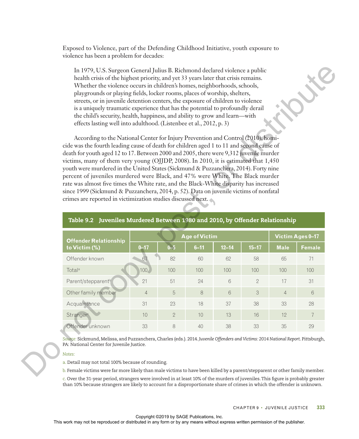Exposed to Violence, part of the Defending Childhood Initiative, youth exposure to violence has been a problem for decades:

| health crisis of the highest priority, and yet 33 years later that crisis remains.<br>Whether the violence occurs in children's homes, neighborhoods, schools,<br>playgrounds or playing fields, locker rooms, places of worship, shelters,<br>streets, or in juvenile detention centers, the exposure of children to violence<br>is a uniquely traumatic experience that has the potential to profoundly derail<br>the child's security, health, happiness, and ability to grow and learn-with<br>effects lasting well into adulthood. (Listenbee et al., 2012, p. 3)<br>According to the National Center for Injury Prevention and Control (2010), homi-<br>cide was the fourth leading cause of death for children aged 1 to 11 and second cause of<br>death for youth aged 12 to 17. Between 2000 and 2005, there were 9,312 juvenile murder<br>victims, many of them very young (OJJDP, 2008). In 2010, it is estimated that 1,450<br>youth were murdered in the United States (Sickmund & Puzzanchera, 2014). Forty nine<br>percent of juveniles murdered were Black, and 47% were White. The Black murder<br>rate was almost five times the White rate, and the Black-White disparity has increased<br>since 1999 (Sickmund & Puzzanchera, 2014, p. 52). Data on juvenile victims of nonfatal<br>crimes are reported in victimization studies discussed next.<br>Table 9.2 Juveniles Murdered Between 1980 and 2010, by Offender Relationship |                                                                                                                                                                                                                                                                                                                                                                                                                                                                                                                                                                                                                                       |              |                                            |           |                                     |                |                  |  |  |  |  |  |  |
|------------------------------------------------------------------------------------------------------------------------------------------------------------------------------------------------------------------------------------------------------------------------------------------------------------------------------------------------------------------------------------------------------------------------------------------------------------------------------------------------------------------------------------------------------------------------------------------------------------------------------------------------------------------------------------------------------------------------------------------------------------------------------------------------------------------------------------------------------------------------------------------------------------------------------------------------------------------------------------------------------------------------------------------------------------------------------------------------------------------------------------------------------------------------------------------------------------------------------------------------------------------------------------------------------------------------------------------------------------------------------------------------------------------------------------------------------|---------------------------------------------------------------------------------------------------------------------------------------------------------------------------------------------------------------------------------------------------------------------------------------------------------------------------------------------------------------------------------------------------------------------------------------------------------------------------------------------------------------------------------------------------------------------------------------------------------------------------------------|--------------|--------------------------------------------|-----------|-------------------------------------|----------------|------------------|--|--|--|--|--|--|
|                                                                                                                                                                                                                                                                                                                                                                                                                                                                                                                                                                                                                                                                                                                                                                                                                                                                                                                                                                                                                                                                                                                                                                                                                                                                                                                                                                                                                                                      |                                                                                                                                                                                                                                                                                                                                                                                                                                                                                                                                                                                                                                       |              | Age of Victim                              |           |                                     |                | Victim Ages 0-17 |  |  |  |  |  |  |
| <b>Offender Relationship</b><br>to Victim (%)                                                                                                                                                                                                                                                                                                                                                                                                                                                                                                                                                                                                                                                                                                                                                                                                                                                                                                                                                                                                                                                                                                                                                                                                                                                                                                                                                                                                        | $0 - 17$                                                                                                                                                                                                                                                                                                                                                                                                                                                                                                                                                                                                                              | $0 - 5$      | $6 - 11$                                   | $12 - 14$ | $15 - 17$                           | <b>Male</b>    | <b>Female</b>    |  |  |  |  |  |  |
| Offender known                                                                                                                                                                                                                                                                                                                                                                                                                                                                                                                                                                                                                                                                                                                                                                                                                                                                                                                                                                                                                                                                                                                                                                                                                                                                                                                                                                                                                                       | 67                                                                                                                                                                                                                                                                                                                                                                                                                                                                                                                                                                                                                                    | 82           | 60                                         | 62        | 58                                  | 65             | 71               |  |  |  |  |  |  |
| Total <sup>a</sup>                                                                                                                                                                                                                                                                                                                                                                                                                                                                                                                                                                                                                                                                                                                                                                                                                                                                                                                                                                                                                                                                                                                                                                                                                                                                                                                                                                                                                                   | 100                                                                                                                                                                                                                                                                                                                                                                                                                                                                                                                                                                                                                                   | 100          | 100                                        | 100       | 100                                 | 100            | 100              |  |  |  |  |  |  |
| Parent/stepparent <sup>b</sup>                                                                                                                                                                                                                                                                                                                                                                                                                                                                                                                                                                                                                                                                                                                                                                                                                                                                                                                                                                                                                                                                                                                                                                                                                                                                                                                                                                                                                       | 21                                                                                                                                                                                                                                                                                                                                                                                                                                                                                                                                                                                                                                    | 51           | 24                                         | 6         | $\mathbf{2}$                        | 17             | 31               |  |  |  |  |  |  |
| Other family member                                                                                                                                                                                                                                                                                                                                                                                                                                                                                                                                                                                                                                                                                                                                                                                                                                                                                                                                                                                                                                                                                                                                                                                                                                                                                                                                                                                                                                  | $\overline{4}$                                                                                                                                                                                                                                                                                                                                                                                                                                                                                                                                                                                                                        | 5            | 8                                          | 6         | 3                                   | $\overline{4}$ | 6                |  |  |  |  |  |  |
| Acquaintance                                                                                                                                                                                                                                                                                                                                                                                                                                                                                                                                                                                                                                                                                                                                                                                                                                                                                                                                                                                                                                                                                                                                                                                                                                                                                                                                                                                                                                         | 31                                                                                                                                                                                                                                                                                                                                                                                                                                                                                                                                                                                                                                    | 23           | 18                                         | 37        | 38                                  | 33             | 28               |  |  |  |  |  |  |
| Stranger <sup>o</sup>                                                                                                                                                                                                                                                                                                                                                                                                                                                                                                                                                                                                                                                                                                                                                                                                                                                                                                                                                                                                                                                                                                                                                                                                                                                                                                                                                                                                                                | 10                                                                                                                                                                                                                                                                                                                                                                                                                                                                                                                                                                                                                                    | $\mathbf{2}$ | 10                                         | 13        | 16                                  | 12             | $\overline{7}$   |  |  |  |  |  |  |
| Offender unknown                                                                                                                                                                                                                                                                                                                                                                                                                                                                                                                                                                                                                                                                                                                                                                                                                                                                                                                                                                                                                                                                                                                                                                                                                                                                                                                                                                                                                                     | 33                                                                                                                                                                                                                                                                                                                                                                                                                                                                                                                                                                                                                                    | $\,8\,$      | 40                                         | 38        | 33                                  | 35             | 29               |  |  |  |  |  |  |
| Notes:                                                                                                                                                                                                                                                                                                                                                                                                                                                                                                                                                                                                                                                                                                                                                                                                                                                                                                                                                                                                                                                                                                                                                                                                                                                                                                                                                                                                                                               | Source: Sickmund, Melissa, and Puzzanchera, Charles (eds.). 2014. Juvenile Offenders and Victims: 2014 National Report. Pittsburgh,<br>PA: National Center for Juvenile Justice.<br>a. Detail may not total 100% because of rounding.<br>b. Female victims were far more likely than male victims to have been killed by a parent/stepparent or other family member.<br>c. Over the 31-year period, strangers were involved in at least 10% of the murders of juveniles. This figure is probably greater<br>than 10% because strangers are likely to account for a disproportionate share of crimes in which the offender is unknown. |              |                                            |           |                                     |                |                  |  |  |  |  |  |  |
| This work may not be reproduced or distributed in any form or by any means without express written permission of the publisher.                                                                                                                                                                                                                                                                                                                                                                                                                                                                                                                                                                                                                                                                                                                                                                                                                                                                                                                                                                                                                                                                                                                                                                                                                                                                                                                      |                                                                                                                                                                                                                                                                                                                                                                                                                                                                                                                                                                                                                                       |              | Copyright ©2019 by SAGE Publications, Inc. |           | <b>CHAPTER 9 · JUVENILE JUSTICE</b> |                | 333              |  |  |  |  |  |  |

# Table 9.2 Juveniles Murdered Between 1980 and 2010, by Offender Relationship

### *Notes:*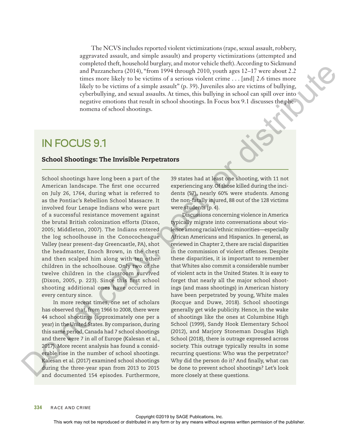The NCVS includes reported violent victimizations (rape, sexual assault, robbery, aggravated assault, and simple assault) and property victimizations (attempted and completed theft, household burglary, and motor vehicle theft). According to Sickmund and Puzzanchera (2014), "from 1994 through 2010, youth ages 12–17 were about 2.2 times more likely to be victims of a serious violent crime . . . [and] 2.6 times more likely to be victims of a simple assault" (p. 39). Juveniles also are victims of bullying, cyberbullying, and sexual assaults. At times, this bullying in school can spill over into negative emotions that result in school shootings. In Focus box 9.1 discusses the phenomena of school shootings.

# IN FOCUS 9.1

# School Shootings: The Invisible Perpetrators

School shootings have long been a part of the American landscape. The first one occurred on July 26, 1764, during what is referred to as the Pontiac's Rebellion School Massacre. It involved four Lenape Indians who were part of a successful resistance movement against the brutal British colonization efforts (Dixon, 2005; Middleton, 2007). The Indians entered the log schoolhouse in the Conococheague Valley (near present-day Greencastle, PA), shot the headmaster, Enoch Brown, in the chest and then scalped him along with ten other children in the schoolhouse. Only two of the twelve children in the classroom survived (Dixon, 2005, p. 223). Since this first school shooting additional ones have occurred in every century since.

In more recent times, one set of scholars has observed that, from 1966 to 2008, there were 44 school shootings (approximately one per a year) in the United States. By comparison, during this same period, Canada had 7 school shootings and there were 7 in *all* of Europe (Kalesan et al., 2017). More recent analysis has found a considerable rise in the number of school shootings. Kalesan et al. (2017) examined school shootings during the three-year span from 2013 to 2015 and documented 154 episodes. Furthermore, 39 states had at least one shooting, with 11 not experiencing any. Of those killed during the incidents (57), nearly 60% were students. Among the non-fatally injured, 88 out of the 128 victims were students (p. 4).

Discussions concerning violence in America typically migrate into conversations about violence among racial/ethnic minorities—especially African Americans and Hispanics. In general, as reviewed in Chapter 2, there are racial disparities in the commission of violent offenses. Despite these disparities, it is important to remember that Whites also commit a considerable number of violent acts in the United States. It is easy to forget that nearly all the major school shootings (and mass shootings) in American history have been perpetrated by young, White males (Rocque and Duwe, 2018). School shootings generally get wide publicity. Hence, in the wake of shootings like the ones at Columbine High School (1999), Sandy Hook Elementary School (2012), and Marjory Stoneman Douglas High School (2018), there is outrage expressed across society. This outrage typically results in some recurring questions: Who was the perpetrator? Why did the person do it? And finally, what can be done to prevent school shootings? Let's look more closely at these questions. The three states with the repression of the publisher and the publisher and the results of the results of the results with the publisher in a state of the publisher in a state of the publisher in a state of the publisher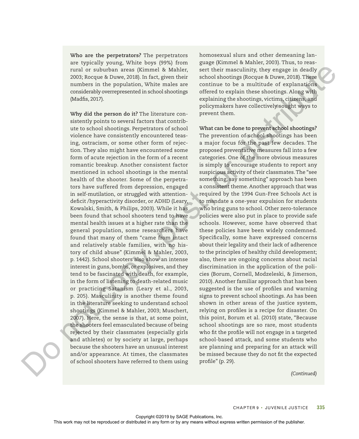**Who are the perpetrators?** The perpetrators are typically young, White boys (99%) from rural or suburban areas (Kimmel & Mahler, 2003; Rocque & Duwe, 2018). In fact, given their numbers in the population, White males are considerably overrepresented in school shootings (Madfis, 2017).

**Why did the person do it?** The literature consistently points to several factors that contribute to school shootings. Perpetrators of school violence have consistently encountered teasing, ostracism, or some other form of rejection. They also might have encountered some form of acute rejection in the form of a recent romantic breakup. Another consistent factor mentioned in school shootings is the mental health of the shooter. Some of the perpetrators have suffered from depression, engaged in self-mutilation, or struggled with attentiondeficit /hyperactivity disorder, or ADHD (Leary, Kowalski, Smith, & Philips, 2003). While it has been found that school shooters tend to have mental health issues at a higher rate than the general population, some researchers have found that many of them "came from intact and relatively stable families, with no history of child abuse" (Kimmel & Mahler, 2003, p. 1442). School shooters also show an intense interest in guns, bombs, or explosives, and they tend to be fascinated with death, for example, in the form of listening to death-related music or practicing Satanism (Leary et al., 2003, p. 205). Masculinity is another theme found in the literature seeking to understand school shootings (Kimmel & Mahler, 2003; Muschert, 2007). Here, the sense is that, at some point, the shooters feel emasculated because of being rejected by their classmates (especially girls and athletes) or by society at large, perhaps because the shooters have an unusual interest and/or appearance. At times, the classmates of school shooters have referred to them using The results work may not be represented or distributed in a set of the results with the results of the publisher in the publisher in the publisher of the publisher of the publisher of the publisher of the publisher of the

homosexual slurs and other demeaning language (Kimmel & Mahler, 2003). Thus, to reassert their masculinity, they engage in deadly school shootings (Rocque & Duwe, 2018). There continue to be a multitude of explanations offered to explain these shootings. Along with explaining the shootings, victims, citizens, and policymakers have collectively sought ways to prevent them.

**What can be done to prevent school shootings?**  The prevention of school shootings has been a major focus for the past few decades. The proposed preventative measures fall into a few categories. One of the more obvious measures is simply to encourage students to report any suspicious activity of their classmates. The "see something, say something" approach has been a consistent theme. Another approach that was required by the 1994 Gun-Free Schools Act is to mandate a one-year expulsion for students who bring guns to school. Other zero-tolerance policies were also put in place to provide safe schools. However, some have observed that these policies have been widely condemned. Specifically, some have expressed concerns about their legality and their lack of adherence to the principles of healthy child development; also, there are ongoing concerns about racial discrimination in the application of the policies (Borum, Cornell, Modzeleski, & Jimerson, 2010). Another familiar approach that has been suggested is the use of profiles and warning signs to prevent school shootings. As has been shown in other areas of the justice system, relying on profiles is a recipe for disaster. On this point, Borum et al. (2010) state, "Because school shootings are so rare, most students who fit the profile will not engage in a targeted school-based attack, and some students who are planning and preparing for an attack will be missed because they do not fit the expected profile" (p. 29).

*(Continued)*

CHAPTER 9 • Juvenile Justice **335**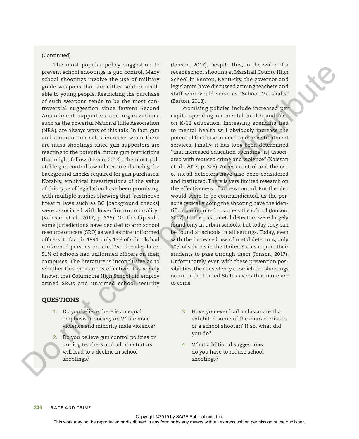### (Continued)

The most popular policy suggestion to prevent school shootings is gun control. Many school shootings involve the use of military grade weapons that are either sold or available to young people. Restricting the purchase of such weapons tends to be the most controversial suggestion since fervent Second Amendment supporters and organizations, such as the powerful National Rifle Association (NRA), are always wary of this talk. In fact, gun and ammunition sales increase when there are mass shootings since gun supporters are reacting to the potential future gun restrictions that might follow (Persio, 2018). The most palatable gun control law relates to enhancing the background checks required for gun purchases. Notably, empirical investigations of the value of this type of legislation have been promising, with multiple studies showing that "restrictive firearm laws such as BC [background checks] were associated with lower firearm mortality" (Kalesan et al., 2017, p. 325). On the flip side, some jurisdictions have decided to arm school resource officers (SRO) as well as hire uniformed officers. In fact, in 1994, only 13% of schools had uniformed persons on site. Two decades later, 51% of schools had uniformed officers on their campuses. The literature is inconclusive as to whether this measure is effective. It is widely known that Columbine High School did employ armed SROs and unarmed school security The results are the results and the results of the results of the results of the results of the results are express with the results of the results of the results are express with the results of the publisher. Do not comp

(Jonson, 2017). Despite this, in the wake of a recent school shooting at Marshall County High School in Benton, Kentucky, the governor and legislators have discussed arming teachers and staff who would serve as "School Marshalls" (Barton, 2018).

Promising policies include increased per capita spending on mental health and also on K-12 education. Increasing spending tied to mental health will obviously increase the potential for those in need to receive treatment services. Finally, it has long been determined "that increased education spending [is] associated with reduced crime and violence" (Kalesan et al., 2017, p. 325). Access control and the use of metal detectors have also been considered and instituted. There is very limited research on the effectiveness of access control. But the idea would seem to be contraindicated, as the persons typically doing the shooting have the identification required to access the school (Jonson, 2017). In the past, metal detectors were largely found only in urban schools, but today they can be found at schools in all settings. Today, even with the increased use of metal detectors, only 10% of schools in the United States require their students to pass through them (Jonson, 2017). Unfortunately, even with these prevention possibilities, the consistency at which the shootings occur in the United States avers that more are to come.

# QUESTIONS

- 1. Do you believe there is an equal emphasis in society on White male violence and minority male violence?
- 2. Do you believe gun control policies or arming teachers and administrators will lead to a decline in school shootings?
- 3. Have you ever had a classmate that exhibited some of the characteristics of a school shooter? If so, what did you do?
- 4. What additional suggestions do you have to reduce school shootings?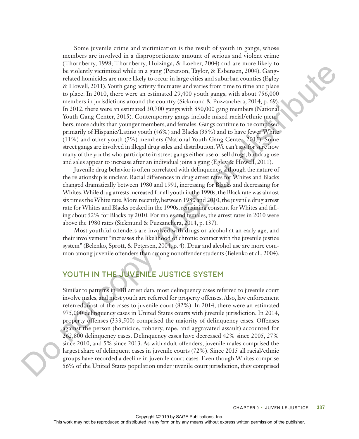Some juvenile crime and victimization is the result of youth in gangs, whose members are involved in a disproportionate amount of serious and violent crime (Thornberry, 1998; Thornberry, Huizinga, & Loeber, 2004) and are more likely to be violently victimized while in a gang (Peterson, Taylor, & Esbensen, 2004). Gangrelated homicides are more likely to occur in large cities and suburban counties (Egley & Howell, 2011). Youth gang activity fluctuates and varies from time to time and place to place. In 2010, there were an estimated 29,400 youth gangs, with about 756,000 members in jurisdictions around the country (Sickmund & Puzzanchera, 2014, p. 69). In 2012, there were an estimated 30,700 gangs with 850,000 gang members (National Youth Gang Center, 2015). Contemporary gangs include mixed racial/ethnic members, more adults than younger members, and females. Gangs continue to be composed primarily of Hispanic/Latino youth  $(46%)$  and Blacks  $(35%)$  and to have fewer White (11%) and other youth (7%) members (National Youth Gang Center, 2015). Some street gangs are involved in illegal drug sales and distribution. We can't say for sure how many of the youths who participate in street gangs either use or sell drugs, but drug use and sales appear to increase after an individual joins a gang (Egley & Howell, 2011). The model of the results with the reproduced or the results with the results of the results of the results of the results of the results of the results of the results of the results of the publisher. This work means we ar

Juvenile drug behavior is often correlated with delinquency, although the nature of the relationship is unclear. Racial differences in drug arrest rates for Whites and Blacks changed dramatically between 1980 and 1991, increasing for Blacks and decreasing for Whites. While drug arrests increased for all youth in the 1990s, the Black rate was almost six times the White rate. More recently, between 1980 and 2010, the juvenile drug arrest rate for Whites and Blacks peaked in the 1990s, remaining constant for Whites and falling about 52% for Blacks by 2010. For males and females, the arrest rates in 2010 were above the 1980 rates (Sickmund & Puzzanchera, 2014, p. 137).

Most youthful offenders are involved with drugs or alcohol at an early age, and their involvement "increases the likelihood of chronic contact with the juvenile justice system" (Belenko, Sprott, & Petersen, 2004, p. 4). Drug and alcohol use are more common among juvenile offenders than among nonoffender students (Belenko et al., 2004).

# **YOUTH IN THE JUVENILE JUSTICE SYSTEM**

Similar to patterns in FBI arrest data, most delinquency cases referred to juvenile court involve males, and most youth are referred for property offenses. Also, law enforcement referred most of the cases to juvenile court (82%). In 2014, there were an estimated 975,000 delinquency cases in United States courts with juvenile jurisdiction. In 2014, property offenses (333,500) comprised the majority of delinquency cases. Offenses against the person (homicide, robbery, rape, and aggravated assault) accounted for 262,800 delinquency cases. Delinquency cases have decreased 42% since 2005, 27% since 2010, and 5% since 2013. As with adult offenders, juvenile males comprised the largest share of delinquent cases in juvenile courts (72%). Since 2015 all racial/ethnic groups have recorded a decline in juvenile court cases. Even though Whites comprise 56% of the United States population under juvenile court jurisdiction, they comprised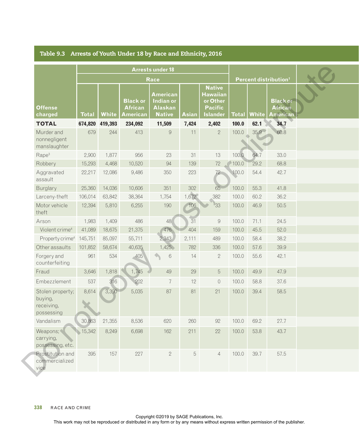# Table 9.3 Arrests of Youth Under 18 by Race and Ethnicity, 2016

|                                                         | <b>Arrests under 18</b> |        |                                               |                                                                        |       |                                                                                   |                      |      |                                                      |  |
|---------------------------------------------------------|-------------------------|--------|-----------------------------------------------|------------------------------------------------------------------------|-------|-----------------------------------------------------------------------------------|----------------------|------|------------------------------------------------------|--|
|                                                         |                         |        |                                               | Race                                                                   |       |                                                                                   |                      |      | Percent distribution <sup>1</sup>                    |  |
| <b>Offense</b><br>charged                               | <b>Total</b>            | White  | <b>Black or</b><br><b>African</b><br>American | <b>American</b><br><b>Indian or</b><br><b>Alaskan</b><br><b>Native</b> | Asian | <b>Native</b><br><b>Hawaiian</b><br>or Other<br><b>Pacific</b><br><b>Islander</b> | <b>Total   White</b> |      | <b>Black or</b><br><b>African</b><br><b>American</b> |  |
| <b>TOTAL</b>                                            | 674,820 419,393         |        | 234,092                                       | 11,509                                                                 | 7,424 | 2,402                                                                             | 100.0                | 62.1 | 34.7                                                 |  |
| Murder and<br>nonnegligent<br>manslaughter              | 679                     | 244    | 413                                           | 9                                                                      | 11    | $\mathcal{P}$                                                                     | 100.0                | 35.9 | 60.8                                                 |  |
| Rape <sup>3</sup>                                       | 2,900                   | 1,877  | 956                                           | 23                                                                     | 31    | 13                                                                                | 100.0                | 64.7 | 33.0                                                 |  |
| Robbery                                                 | 15,293                  | 4,468  | 10,520                                        | 94                                                                     | 139   | 72                                                                                | 100.0                | 29.2 | 68.8                                                 |  |
| Aggravated<br>assault                                   | 22,217                  | 12,086 | 9,486                                         | 350                                                                    | 223   | $72 -$                                                                            | 100.0                | 54.4 | 42.7                                                 |  |
| Burglary                                                | 25,360                  | 14,036 | 10,606                                        | 351                                                                    | 302   | 65                                                                                | 100.0                | 55.3 | 41.8                                                 |  |
| Larceny-theft                                           | 106,014                 | 63,842 | 38,364                                        | 1,754                                                                  | 1,672 | 382                                                                               | 100.0                | 60.2 | 36.2                                                 |  |
| Motor vehicle<br>theft                                  | 12,394                  | 5,810  | 6,255                                         | 190                                                                    | 106   | $\mathbb{I}33$                                                                    | 100.0                | 46.9 | 50.5                                                 |  |
| Arson                                                   | 1,983                   | 1,409  | 486                                           | 48                                                                     | 31    | 9                                                                                 | 100.0                | 71.1 | 24.5                                                 |  |
| Violent crime <sup>4</sup>                              | 41,089                  | 18,675 | 21,375                                        | 476                                                                    | 404   | 159                                                                               | 100.0                | 45.5 | 52.0                                                 |  |
| Property crime <sup>4</sup> 145,751                     |                         | 85,097 | 55,711                                        | 2,343                                                                  | 2,111 | 489                                                                               | 100.0                | 58.4 | 38.2                                                 |  |
| Other assaults                                          | 101,852                 | 58,674 | 40,635                                        | 1,425                                                                  | 782   | 336                                                                               | 100.0                | 57.6 | 39.9                                                 |  |
| Forgery and<br>counterfeiting                           | 961                     | 534    | 405                                           | $\bullet$<br>6                                                         | 14    | $\mathbf{2}$                                                                      | 100.0                | 55.6 | 42.1                                                 |  |
| Fraud                                                   | 3,646                   | 1,818  | 1,745                                         | 49                                                                     | 29    | 5 <sup>5</sup>                                                                    | 100.0                | 49.9 | 47.9                                                 |  |
| Embezzlement                                            | 537                     | 316    | 202                                           | $\overline{7}$                                                         | 12    | $\circ$                                                                           | 100.0                | 58.8 | 37.6                                                 |  |
| Stolen property;<br>buying,<br>receiving,<br>possessing | 8,614                   | 3,390  | 5,035                                         | 87                                                                     | 81    | 21                                                                                | 100.0                | 39.4 | 58.5                                                 |  |
| Vandalism                                               | 30,863                  | 21,355 | 8,536                                         | 620                                                                    | 260   | 92                                                                                | 100.0                | 69.2 | 27.7                                                 |  |
| Weapons;<br>carrying,<br>possessing, etc.               | 15,342                  | 8,249  | 6,698                                         | 162                                                                    | 211   | 22                                                                                | 100.0                | 53.8 | 43.7                                                 |  |
| Prostitution and<br>commercialized<br>vice              | 395                     | 157    | 227                                           | $\overline{2}$                                                         | 5     | $\overline{4}$                                                                    | 100.0 39.7           |      | 57.5                                                 |  |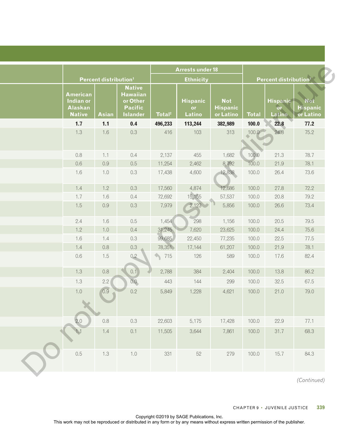|                          |                                                          |               |                                                                            | <b>Arrests under 18</b> |                                 |                                            |              |                                   |                                     |
|--------------------------|----------------------------------------------------------|---------------|----------------------------------------------------------------------------|-------------------------|---------------------------------|--------------------------------------------|--------------|-----------------------------------|-------------------------------------|
|                          | Percent distribution <sup>1</sup>                        |               |                                                                            |                         | <b>Ethnicity</b>                |                                            |              | Percent distribution <sup>1</sup> |                                     |
|                          | American<br>Indian or<br><b>Alaskan</b><br><b>Native</b> | <b>Asian</b>  | <b>Native</b><br>Hawaiian<br>or Other<br><b>Pacific</b><br><b>Islander</b> | Total <sup>2</sup>      | <b>Hispanic</b><br>or<br>Latino | <b>Not</b><br><b>Hispanic</b><br>or Latino | <b>Total</b> | <b>Hispanic</b><br>or.<br>Latino  | Not<br><b>Hispanic</b><br>or Latino |
|                          | 1.7                                                      | $1.1$         | 0.4                                                                        | 496,233                 | 113,244                         | 382,989                                    | 100.0        | 22.8                              | $77.2$                              |
|                          | 1.3                                                      | 1.6           | 0.3                                                                        | 416                     | 103                             | 313                                        | 100.0        | 24.8                              | 75.2                                |
|                          | 0.8                                                      | 1.1           | 0.4                                                                        | 2,137                   | 455                             | 1,682                                      | 100.0        | 21.3                              | 78.7                                |
|                          | 0.6                                                      | 0.9           | 0.5                                                                        | 11,254                  | 2,462                           | 8,792                                      | 100.0        | 21.9                              | 78.1                                |
|                          | 1.6                                                      | 1.0           | 0.3                                                                        | 17,438                  | 4,600                           | 12,838                                     | 100.0        | 26.4                              | 73.6                                |
|                          | 1.4                                                      | 1.2           | 0.3                                                                        | 17,560                  | 4,874                           | 12,686                                     | 100.0        | 27.8                              | 72.2                                |
|                          | 1.7                                                      | 1.6           | 0.4                                                                        | 72,692                  | 15,155                          | 57,537                                     | 100.0        | 20.8                              | 79.2                                |
|                          | 1.5                                                      | 0.9           | 0.3                                                                        | 7,979                   | 2,123                           | 5,856                                      | 100.0        | 26.6                              | 73.4                                |
|                          | 2.4                                                      | 1.6           | 0.5                                                                        | 1,454                   | 298                             | 1,156                                      | 100.0        | 20.5                              | 79.5                                |
|                          | 1.2                                                      | 1.0           | 0.4                                                                        | 31,245                  | 7,620                           | 23,625                                     | 100.0        | 24.4                              | 75.6                                |
|                          | 1.6                                                      | 1.4           | 0.3                                                                        | 99,685                  | 22,450                          | 77,235                                     | 100.0        | 22.5                              | 77.5                                |
|                          | 1.4                                                      | 0.8           | 0.3                                                                        | 78,351                  | 17,144                          | 61,207                                     | 100.0        | 21.9                              | 78.1                                |
|                          | 0.6                                                      | 1.5           | 0.2                                                                        | 15                      | 126                             | 589                                        | 100.0        | 17.6                              | 82.4                                |
|                          | 1.3                                                      | 0.8           | 0.1                                                                        | 2,788                   | 384                             | 2,404                                      | 100.0        | 13.8                              | 86.2                                |
|                          | 1.3                                                      | 2.2           | 0.0                                                                        | 443                     | 144                             | 299                                        | 100.0        | 32.5                              | 67.5                                |
|                          | 1.0                                                      | $\boxed{0.9}$ | 0.2                                                                        | 5,849                   | 1,228                           | 4,621                                      | 100.0        | 21.0                              | 79.0                                |
|                          | 2.0                                                      | 0.8           | 0.3                                                                        | 22,603                  | 5,175                           | 17,428                                     | 100.0        | 22.9                              | 77.1                                |
| $\overline{\phantom{a}}$ |                                                          | 1.4           | 0.1                                                                        | 11,505                  | 3,644                           | 7,861                                      | 100.0        | 31.7                              | 68.3                                |
|                          | 0.5                                                      | 1.3           | 1.0                                                                        | 331                     | 52                              | 279                                        | 100.0        | 15.7                              | 84.3                                |
|                          |                                                          |               |                                                                            |                         |                                 |                                            |              |                                   | (Continued)                         |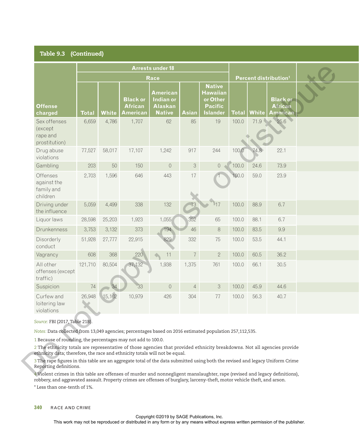# Table 9.3 (Continued)

|                                                                                                                                                                                                                                                                         | Arrests under 18 |        |                                               |                                                                                                                                                                               |                |                                                                                   |       |               |                                                      |  |
|-------------------------------------------------------------------------------------------------------------------------------------------------------------------------------------------------------------------------------------------------------------------------|------------------|--------|-----------------------------------------------|-------------------------------------------------------------------------------------------------------------------------------------------------------------------------------|----------------|-----------------------------------------------------------------------------------|-------|---------------|------------------------------------------------------|--|
|                                                                                                                                                                                                                                                                         |                  |        |                                               | Race                                                                                                                                                                          |                |                                                                                   |       |               | Percent distribution <sup>1</sup>                    |  |
| <b>Offense</b><br>charged                                                                                                                                                                                                                                               | <b>Total</b>     | White  | <b>Black or</b><br><b>African</b><br>American | <b>American</b><br><b>Indian or</b><br><b>Alaskan</b><br><b>Native</b>                                                                                                        | Asian          | <b>Native</b><br><b>Hawaiian</b><br>or Other<br><b>Pacific</b><br><b>Islander</b> |       | Total   White | <b>Black or</b><br><b>African</b><br><b>American</b> |  |
| Sex offenses<br>(except<br>rape and<br>prostitution)                                                                                                                                                                                                                    | 6,659            | 4,786  | 1,707                                         | 62                                                                                                                                                                            | 85             | 19                                                                                | 100.0 | 71.9          | 25.6                                                 |  |
| Drug abuse<br>violations                                                                                                                                                                                                                                                | 77,527           | 58,017 | 17,107                                        | 1,242                                                                                                                                                                         | 917            | 244                                                                               | 100.0 |               | 22.1                                                 |  |
| Gambling                                                                                                                                                                                                                                                                | 203              | 50     | 150                                           | $\overline{0}$                                                                                                                                                                | $\mathcal{S}$  | $\circ$                                                                           | 100.0 | 24.6          | 73.9                                                 |  |
| Offenses<br>against the<br>family and<br>children                                                                                                                                                                                                                       | 2,703            | 1,596  | 646                                           | 443                                                                                                                                                                           | 17             |                                                                                   | 100.0 | 59.0          | 23.9                                                 |  |
| Driving under<br>the influence                                                                                                                                                                                                                                          | 5,059            | 4,499  | 338                                           | 132                                                                                                                                                                           |                | 117                                                                               | 100.0 | 88.9          | 6.7                                                  |  |
| Liquor laws                                                                                                                                                                                                                                                             | 28,598           | 25,203 | 1,923                                         | 1,055                                                                                                                                                                         | 352            | 65                                                                                | 100.0 | 88.1          | 6.7                                                  |  |
| Drunkenness                                                                                                                                                                                                                                                             | 3,753            | 3,132  | 373                                           | 194                                                                                                                                                                           | 46             | 8                                                                                 | 100.0 | 83.5          | 9.9                                                  |  |
| Disorderly<br>conduct                                                                                                                                                                                                                                                   | 51,928           | 27,777 | 22,915                                        | 829                                                                                                                                                                           | 332            | 75                                                                                | 100.0 | 53.5          | 44.1                                                 |  |
| Vagrancy                                                                                                                                                                                                                                                                | 608              | 368    | 220                                           | 11                                                                                                                                                                            | $\overline{7}$ | $\overline{2}$                                                                    | 100.0 | 60.5          | 36.2                                                 |  |
| All other<br>offenses (except<br>traffic)                                                                                                                                                                                                                               | 121,710          | 80,504 | 37,132                                        | 1,938                                                                                                                                                                         | 1,375          | 761                                                                               | 100.0 | 66.1          | 30.5                                                 |  |
| Suspicion                                                                                                                                                                                                                                                               | 74               | 34     | 33                                            | $\Omega$                                                                                                                                                                      | $\overline{4}$ | $\mathcal{S}$                                                                     | 100.0 | 45.9          | 44.6                                                 |  |
| Curfew and<br>loitering law<br>violations                                                                                                                                                                                                                               | 26,948           | 15,162 | 10,979                                        | 426                                                                                                                                                                           | 304            | 77                                                                                | 100.0 | 56.3          | 40.7                                                 |  |
| Source: FBI (2017, Table 21B).<br>Notes: Data collected from 13,049 agencies; percentages based on 2016 estimated population 257,112,535.                                                                                                                               |                  |        |                                               |                                                                                                                                                                               |                |                                                                                   |       |               |                                                      |  |
| 1 Because of rounding, the percentages may not add to 100.0.<br>2 The ethnicity totals are representative of those agencies that provided ethnicity breakdowns. Not all agencies provide<br>ethnicity data; therefore, the race and ethnicity totals will not be equal. |                  |        |                                               |                                                                                                                                                                               |                |                                                                                   |       |               |                                                      |  |
| 3 The rape figures in this table are an aggregate total of the data submitted using both the revised and legacy Uniform Crime<br>Reporting definitions.                                                                                                                 |                  |        |                                               |                                                                                                                                                                               |                |                                                                                   |       |               |                                                      |  |
| 4 Violent crimes in this table are offenses of murder and nonnegligent manslaughter, rape (revised and legacy definitions),<br>robbery, and aggravated assault. Property crimes are offenses of burglary, larceny-theft, motor vehicle theft, and arson.                |                  |        |                                               |                                                                                                                                                                               |                |                                                                                   |       |               |                                                      |  |
| * Less than one-tenth of 1%.                                                                                                                                                                                                                                            |                  |        |                                               |                                                                                                                                                                               |                |                                                                                   |       |               |                                                      |  |
| 340<br>RACE AND CRIME                                                                                                                                                                                                                                                   |                  |        |                                               |                                                                                                                                                                               |                |                                                                                   |       |               |                                                      |  |
|                                                                                                                                                                                                                                                                         |                  |        |                                               | Copyright ©2019 by SAGE Publications, Inc.<br>This work may not be reproduced or distributed in any form or by any means without express written permission of the publisher. |                |                                                                                   |       |               |                                                      |  |

# *Source:* FBI (2017, Table 21B).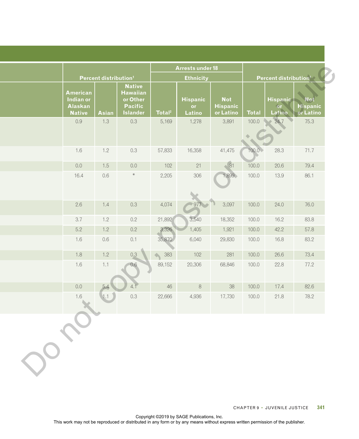| Percent distribution <sup>1</sup><br>Hispanic $\Box$<br><b>Hispanic</b><br>or <b>or</b><br><b>or Latino</b><br>Latino<br><b>Total</b><br>or Latino<br>24.7<br>100.0<br>28.3<br>100.0<br>100.0<br>20.6<br>100.0<br>13.9 |
|------------------------------------------------------------------------------------------------------------------------------------------------------------------------------------------------------------------------|
|                                                                                                                                                                                                                        |
|                                                                                                                                                                                                                        |
|                                                                                                                                                                                                                        |
|                                                                                                                                                                                                                        |
|                                                                                                                                                                                                                        |
|                                                                                                                                                                                                                        |
|                                                                                                                                                                                                                        |
| 100.0<br>24.0                                                                                                                                                                                                          |
| 100.0<br>16.2                                                                                                                                                                                                          |
| 100.0<br>42.2                                                                                                                                                                                                          |
| 100.0<br>16.8                                                                                                                                                                                                          |
| 100.0<br>26.6                                                                                                                                                                                                          |
| 100.0<br>22.8                                                                                                                                                                                                          |
| 100.0<br>17.4                                                                                                                                                                                                          |
| 100.0<br>21.8                                                                                                                                                                                                          |
|                                                                                                                                                                                                                        |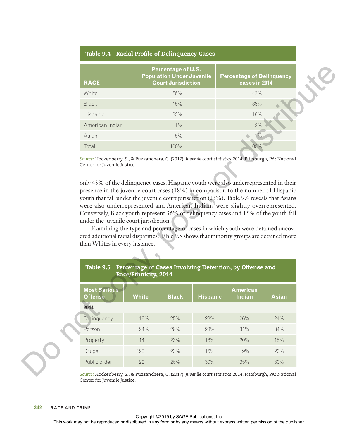# Table 9.4 Racial Profile of Delinquency Cases

| <b>RACE</b>     | <b>Percentage of U.S.</b><br><b>Population Under Juvenile</b><br><b>Court Jurisdiction</b> | <b>Percentage of Delinguency</b><br>cases in 2014 |
|-----------------|--------------------------------------------------------------------------------------------|---------------------------------------------------|
| White           | 56%                                                                                        | 43%                                               |
| <b>Black</b>    | 15%                                                                                        | 36%                                               |
| Hispanic        | 23%                                                                                        | 18%                                               |
| American Indian | $1\%$                                                                                      | 2%                                                |
| Asian           | 5%                                                                                         | $\frac{0}{6}$                                     |
| Total           | 100%                                                                                       |                                                   |

|                       | <b>RACE</b>                                                                                                                                                                                                                                                                                                                                                                                                                                                                                                                                                                                                                                                                                                                                                                                                                                                                                                                                                    |       | Percentage of U.S.<br><b>Population Under Juvenile</b><br><b>Court Jurisdiction</b> |                 | <b>Percentage of Delinquency</b><br>cases in 2014 |       |  |  |  |  |  |
|-----------------------|----------------------------------------------------------------------------------------------------------------------------------------------------------------------------------------------------------------------------------------------------------------------------------------------------------------------------------------------------------------------------------------------------------------------------------------------------------------------------------------------------------------------------------------------------------------------------------------------------------------------------------------------------------------------------------------------------------------------------------------------------------------------------------------------------------------------------------------------------------------------------------------------------------------------------------------------------------------|-------|-------------------------------------------------------------------------------------|-----------------|---------------------------------------------------|-------|--|--|--|--|--|
|                       | White                                                                                                                                                                                                                                                                                                                                                                                                                                                                                                                                                                                                                                                                                                                                                                                                                                                                                                                                                          |       | 56%                                                                                 |                 | 43%                                               |       |  |  |  |  |  |
|                       | <b>Black</b>                                                                                                                                                                                                                                                                                                                                                                                                                                                                                                                                                                                                                                                                                                                                                                                                                                                                                                                                                   |       | 15%                                                                                 |                 | 36%                                               |       |  |  |  |  |  |
|                       | Hispanic                                                                                                                                                                                                                                                                                                                                                                                                                                                                                                                                                                                                                                                                                                                                                                                                                                                                                                                                                       |       | 23%                                                                                 |                 | 18%                                               |       |  |  |  |  |  |
|                       | American Indian                                                                                                                                                                                                                                                                                                                                                                                                                                                                                                                                                                                                                                                                                                                                                                                                                                                                                                                                                |       | $1\%$                                                                               |                 | 2%                                                |       |  |  |  |  |  |
|                       | Asian                                                                                                                                                                                                                                                                                                                                                                                                                                                                                                                                                                                                                                                                                                                                                                                                                                                                                                                                                          |       | $5\%$                                                                               |                 | $1\%$                                             |       |  |  |  |  |  |
|                       | Total                                                                                                                                                                                                                                                                                                                                                                                                                                                                                                                                                                                                                                                                                                                                                                                                                                                                                                                                                          |       | 100%<br>100%                                                                        |                 |                                                   |       |  |  |  |  |  |
|                       | Source: Hockenberry, S., & Puzzanchera, C. (2017). Juvenile court statistics 2014. Pittsburgh, PA: National<br>Center for Juvenile Justice.<br>only 43% of the delinquency cases. Hispanic youth were also underrepresented in their<br>presence in the juvenile court cases (18%) in comparison to the number of Hispanic<br>youth that fall under the juvenile court jurisdiction (23%). Table 9.4 reveals that Asians<br>were also underrepresented and American Indians were slightly overrepresented.<br>Conversely, Black youth represent 36% of delinquency cases and 15% of the youth fall<br>under the juvenile court jurisdiction.<br>Examining the type and percentage of cases in which youth were detained uncov-<br>ered additional racial disparities. Table 9.5 shows that minority groups are detained more<br>than Whites in every instance.<br>Percentage of Cases Involving Detention, by Offense and<br>Table 9.5<br>Race/Ethnicity, 2014 |       |                                                                                     |                 |                                                   |       |  |  |  |  |  |
|                       | <b>Most Serious</b><br><b>Offense</b>                                                                                                                                                                                                                                                                                                                                                                                                                                                                                                                                                                                                                                                                                                                                                                                                                                                                                                                          | White | <b>Black</b>                                                                        | <b>Hispanic</b> | <b>American</b><br><b>Indian</b>                  | Asian |  |  |  |  |  |
|                       | 2014                                                                                                                                                                                                                                                                                                                                                                                                                                                                                                                                                                                                                                                                                                                                                                                                                                                                                                                                                           |       |                                                                                     |                 |                                                   |       |  |  |  |  |  |
|                       | Delinquency                                                                                                                                                                                                                                                                                                                                                                                                                                                                                                                                                                                                                                                                                                                                                                                                                                                                                                                                                    | 18%   | 25%                                                                                 | 23%             | 26%                                               | 24%   |  |  |  |  |  |
|                       | Person                                                                                                                                                                                                                                                                                                                                                                                                                                                                                                                                                                                                                                                                                                                                                                                                                                                                                                                                                         | 24%   | 29%                                                                                 | 28%             | 31%                                               | 34%   |  |  |  |  |  |
|                       | Property                                                                                                                                                                                                                                                                                                                                                                                                                                                                                                                                                                                                                                                                                                                                                                                                                                                                                                                                                       | 14    | 23%                                                                                 | 18%             | 20%                                               | 15%   |  |  |  |  |  |
|                       | Drugs                                                                                                                                                                                                                                                                                                                                                                                                                                                                                                                                                                                                                                                                                                                                                                                                                                                                                                                                                          | 123   | 23%                                                                                 | 16%             | 19%                                               | 20%   |  |  |  |  |  |
|                       | Public order                                                                                                                                                                                                                                                                                                                                                                                                                                                                                                                                                                                                                                                                                                                                                                                                                                                                                                                                                   | 22    | 26%                                                                                 | 30%             | 35%                                               | 30%   |  |  |  |  |  |
|                       | Source: Hockenberry, S., & Puzzanchera, C. (2017). Juvenile court statistics 2014. Pittsburgh, PA: National<br>Center for Juvenile Justice.                                                                                                                                                                                                                                                                                                                                                                                                                                                                                                                                                                                                                                                                                                                                                                                                                    |       |                                                                                     |                 |                                                   |       |  |  |  |  |  |
| 342<br>RACE AND CRIME | This work may not be reproduced or distributed in any form or by any means without express written permission of the publisher.                                                                                                                                                                                                                                                                                                                                                                                                                                                                                                                                                                                                                                                                                                                                                                                                                                |       | Copyright ©2019 by SAGE Publications, Inc.                                          |                 |                                                   |       |  |  |  |  |  |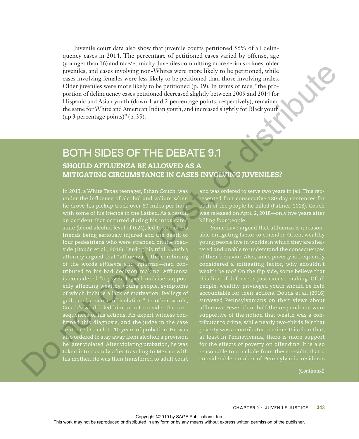Juvenile court data also show that juvenile courts petitioned 56% of all delinquency cases in 2014. The percentage of petitioned cases varied by offense, age (younger than 16) and race/ethnicity. Juveniles committing more serious crimes, older juveniles, and cases involving non-Whites were more likely to be petitioned, while cases involving females were less likely to be petitioned than those involving males. Older juveniles were more likely to be petitioned (p. 39). In terms of race, "the proportion of delinquency cases petitioned decreased slightly between 2005 and 2014 for Hispanic and Asian youth (down 1 and 2 percentage points, respectively), remained the same for White and American Indian youth, and increased slightly for Black youth (up 3 percentage points)" (p. 39).

# BOTH SIDES OF THE DEBATE 9.1 SHOULD AFFLUENZA BE ALLOWED AS A MITIGATING CIRCUMSTANCE IN CASES INVOLVING JUVENILES?

In 2013, a White Texas teenager, Ethan Couch, was under the influence of alcohol and valium when he drove his pickup truck over 80 miles per hour with some of his friends in the flatbed. As a result, an accident that occurred during his intoxicated state (blood alcohol level of 0.24), led to one of his friends being seriously injured and the death of four pedestrians who were stranded on the roadside (Douds et al., 2016). During his trial, Couch's attorney argued that "affluenza"—the combining of the words *affluence* and *influenza*—had contributed to his bad decision making. Affluenza is considered "a psychological malaise supposedly affecting wealthy young people, symptoms of which include a lack of motivation, feelings of guilt, and a sense of isolation." In other words, Couch's wealth led him to not consider the consequences of his actions. An expert witness confirmed this diagnosis, and the judge in the case sentenced Couch to 10 years of probation. He was also ordered to stay away from alcohol; a provision he later violated. After violating probation, he was taken into custody after traveling to Mexico with his mother. He was then transferred to adult court The contract may not be represented or distributed or distributed in any means of the publisher or distributed in any means without express the publisher. One could be published to the publisher of the publisher or distri

and was ordered to serve two years in jail. This represented four consecutive 180-day sentences for each of the people he killed (Palmer, 2018). Couch was released on April 2, 2018—only five years after killing four people.

Some have argued that affluenza is a reasonable mitigating factor to consider. Often, wealthy young people live in worlds in which they are sheltered and unable to understand the consequences considered a mitigating factor, why shouldn't wealth be too? On the flip side, some believe that this line of defense is just excuse making. Of all people, wealthy, privileged youth should be held accountable for their actions. Douds et al. (2016) affluenza. Fewer than half the respondents were supportive of the notion that wealth was a conpoverty was a contributor to crime. It is clear that, at least in Pennsylvania, there is more support for the effects of poverty on offending. It is also reasonable to conclude from these results that a considerable number of Pennsylvania residents

*(Continued)*

CHAPTER 9 • Juvenile Justice **343**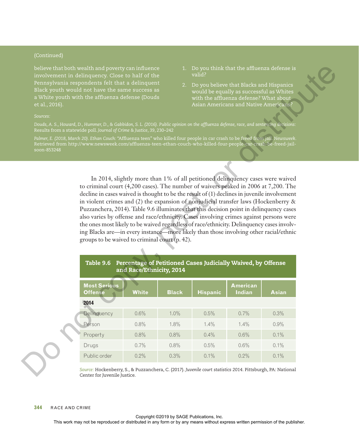# (Continued)

- 1. Do you think that the affluenza defense is valid?
- 2. Do you believe that Blacks and Hispanics would be equally as successful as Whites with the affluenza defense? What about Asian Americans and Native Americans?

| involvement in delinquency. Close to half of the<br>Pennsylvania respondents felt that a delinquent<br>Black youth would not have the same success as<br>a White youth with the affluenza defense (Douds<br>et al., 2016).<br>Sources:<br>Douds, A. S., Howard, D., Hummer, D., & Gabbidon, S. L. (2016). Public opinion on the affluenza defense, race, and sentencing decisions:                                                                                                                                                                                                                                                            | 2.           | 1. Do you think that the affluenza defense is<br>valid? | Do you believe that Blacks and Hispanics<br>would be equally as successful as Whites<br>with the affluenza defense? What about<br>Asian Americans and Native Americans? |              |  |
|-----------------------------------------------------------------------------------------------------------------------------------------------------------------------------------------------------------------------------------------------------------------------------------------------------------------------------------------------------------------------------------------------------------------------------------------------------------------------------------------------------------------------------------------------------------------------------------------------------------------------------------------------|--------------|---------------------------------------------------------|-------------------------------------------------------------------------------------------------------------------------------------------------------------------------|--------------|--|
| Results from a statewide poll. Journal of Crime & Justice, 39, 230-242<br>Palmer, E. (2018, March 20). Ethan Couch: "Affluenza teen" who killed four people in car crash to be freed from jail. Newsweek.<br>Retrieved from http://www.newsweek.com/affluenza-teen-ethan-couch-who-killed-four-people-car-crash-be-freed-jail-<br>soon-853248                                                                                                                                                                                                                                                                                                 |              |                                                         |                                                                                                                                                                         |              |  |
| In 2014, slightly more than 1% of all petitioned delinquency cases were waived<br>to criminal court (4,200 cases). The number of waivers peaked in 2006 at 7,200. The<br>decline in cases waived is thought to be the result of (1) declines in juvenile involvement<br>in violent crimes and (2) the expansion of nonjudicial transfer laws (Hockenberry &<br>Puzzanchera, 2014). Table 9.6 illuminates that this decision point in delinquency cases<br>also varies by offense and race/ethnicity. Cases involving crimes against persons were<br>the ones most likely to be waived regardless of race/ethnicity. Delinquency cases involv- |              |                                                         |                                                                                                                                                                         |              |  |
| ing Blacks are—in every instance—more likely than those involving other racial/ethnic<br>groups to be waived to criminal court (p. 42).<br>Percentage of Petitioned Cases Judicially Waived, by Offense<br>Table 9.6<br>and Race/Ethnicity, 2014<br><b>Most Serious</b>                                                                                                                                                                                                                                                                                                                                                                       |              |                                                         | <b>American</b>                                                                                                                                                         |              |  |
| <b>Offense</b><br><b>White</b>                                                                                                                                                                                                                                                                                                                                                                                                                                                                                                                                                                                                                | <b>Black</b> | <b>Hispanic</b>                                         | <b>Indian</b>                                                                                                                                                           | <b>Asian</b> |  |
| 2014                                                                                                                                                                                                                                                                                                                                                                                                                                                                                                                                                                                                                                          |              |                                                         |                                                                                                                                                                         |              |  |
| Delinquency<br>0.6%<br>0.8%<br>Person                                                                                                                                                                                                                                                                                                                                                                                                                                                                                                                                                                                                         | 1.0%<br>1.8% | 0.5%<br>1.4%                                            | 0.7%<br>1.4%                                                                                                                                                            | 0.3%<br>0.9% |  |
| Property<br>0.8%                                                                                                                                                                                                                                                                                                                                                                                                                                                                                                                                                                                                                              | 0.8%         | 0.4%                                                    | 0.6%                                                                                                                                                                    | 0.1%         |  |
| 0.7%<br>Drugs                                                                                                                                                                                                                                                                                                                                                                                                                                                                                                                                                                                                                                 | 0.8%         | 0.5%                                                    | 0.6%                                                                                                                                                                    | 0.1%         |  |
| Public order<br>0.2%                                                                                                                                                                                                                                                                                                                                                                                                                                                                                                                                                                                                                          | 0.3%         | 0.1%                                                    | 0.2%                                                                                                                                                                    | 0.1%         |  |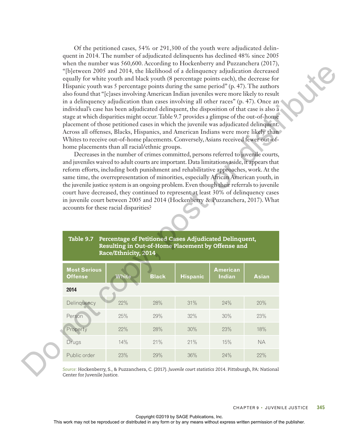Of the petitioned cases, 54% or 291,300 of the youth were adjudicated delinquent in 2014. The number of adjudicated delinquents has declined 48% since 2005 when the number was 560,600. According to Hockenberry and Puzzanchera (2017), "[b]etween 2005 and 2014, the likelihood of a delinquency adjudication decreased equally for white youth and black youth (8 percentage points each), the decrease for Hispanic youth was 5 percentage points during the same period" (p. 47). The authors also found that "[c]ases involving American Indian juveniles were more likely to result in a delinquency adjudication than cases involving all other races" (p. 47). Once an individual's case has been adjudicated delinquent, the disposition of that case is also a stage at which disparities might occur. Table 9.7 provides a glimpse of the out-of-home placement of those petitioned cases in which the juvenile was adjudicated delinquent. Across all offenses, Blacks, Hispanics, and American Indians were more likely than Whites to receive out-of-home placements. Conversely, Asians received fewer out-ofhome placements than all racial/ethnic groups.

# Table 9.7 Percentage of Petitioned Cases Adjudicated Delinquent, Resulting in Out-of-Home Placement by Offense and Race/Ethnicity, 2014

| equally for white youth and black youth (8 percentage points each), the decrease for                                                                                                 |                                                                                                                                                                                      |              |                 | $\frac{1}{2}$ and the number was soo, soon. Hecording to Troekenberry and T department (2017),<br>"[b] etween 2005 and 2014, the likelihood of a delinquency adjudication decreased |                              |     |  |  |  |  |  |  |  |  |
|--------------------------------------------------------------------------------------------------------------------------------------------------------------------------------------|--------------------------------------------------------------------------------------------------------------------------------------------------------------------------------------|--------------|-----------------|-------------------------------------------------------------------------------------------------------------------------------------------------------------------------------------|------------------------------|-----|--|--|--|--|--|--|--|--|
| Hispanic youth was 5 percentage points during the same period" (p. 47). The authors                                                                                                  |                                                                                                                                                                                      |              |                 |                                                                                                                                                                                     |                              |     |  |  |  |  |  |  |  |  |
| also found that "[c]ases involving American Indian juveniles were more likely to result<br>in a delinquency adjudication than cases involving all other races" (p. 47). Once an      |                                                                                                                                                                                      |              |                 |                                                                                                                                                                                     |                              |     |  |  |  |  |  |  |  |  |
| individual's case has been adjudicated delinquent, the disposition of that case is also a<br>stage at which disparities might occur. Table 9.7 provides a glimpse of the out-of-home |                                                                                                                                                                                      |              |                 |                                                                                                                                                                                     |                              |     |  |  |  |  |  |  |  |  |
|                                                                                                                                                                                      | placement of those petitioned cases in which the juvenile was adjudicated delinquent.<br>Across all offenses, Blacks, Hispanics, and American Indians were more likely than          |              |                 |                                                                                                                                                                                     |                              |     |  |  |  |  |  |  |  |  |
|                                                                                                                                                                                      | Whites to receive out-of-home placements. Conversely, Asians received fewer out-of-<br>home placements than all racial/ethnic groups.                                                |              |                 |                                                                                                                                                                                     |                              |     |  |  |  |  |  |  |  |  |
|                                                                                                                                                                                      | Decreases in the number of crimes committed, persons referred to juvenile courts,                                                                                                    |              |                 |                                                                                                                                                                                     |                              |     |  |  |  |  |  |  |  |  |
|                                                                                                                                                                                      | and juveniles waived to adult courts are important. Data limitations aside, it appears that<br>reform efforts, including both punishment and rehabilitative approaches, work. At the |              |                 |                                                                                                                                                                                     |                              |     |  |  |  |  |  |  |  |  |
|                                                                                                                                                                                      | same time, the overrepresentation of minorities, especially African American youth, in<br>the juvenile justice system is an ongoing problem. Even though their referrals to juvenile |              |                 |                                                                                                                                                                                     |                              |     |  |  |  |  |  |  |  |  |
| court have decreased, they continued to represent at least 30% of delinquency cases                                                                                                  |                                                                                                                                                                                      |              |                 |                                                                                                                                                                                     |                              |     |  |  |  |  |  |  |  |  |
| in juvenile court between 2005 and 2014 (Hockenberry & Puzzanchera, 2017). What<br>accounts for these racial disparities?                                                            |                                                                                                                                                                                      |              |                 |                                                                                                                                                                                     |                              |     |  |  |  |  |  |  |  |  |
|                                                                                                                                                                                      |                                                                                                                                                                                      |              |                 |                                                                                                                                                                                     |                              |     |  |  |  |  |  |  |  |  |
|                                                                                                                                                                                      |                                                                                                                                                                                      |              |                 |                                                                                                                                                                                     |                              |     |  |  |  |  |  |  |  |  |
| Table 9.7                                                                                                                                                                            |                                                                                                                                                                                      |              |                 | Percentage of Petitioned Cases Adjudicated Delinquent,<br>Resulting in Out-of-Home Placement by Offense and                                                                         |                              |     |  |  |  |  |  |  |  |  |
|                                                                                                                                                                                      | Race/Ethnicity, 2014                                                                                                                                                                 |              |                 |                                                                                                                                                                                     |                              |     |  |  |  |  |  |  |  |  |
|                                                                                                                                                                                      |                                                                                                                                                                                      |              |                 |                                                                                                                                                                                     |                              |     |  |  |  |  |  |  |  |  |
| <b>Most Serious</b><br><b>Offense</b>                                                                                                                                                | White                                                                                                                                                                                | <b>Black</b> | <b>Hispanic</b> | American<br><b>Indian</b>                                                                                                                                                           | <b>Asian</b>                 |     |  |  |  |  |  |  |  |  |
| 2014                                                                                                                                                                                 |                                                                                                                                                                                      |              |                 |                                                                                                                                                                                     |                              |     |  |  |  |  |  |  |  |  |
| Delinquency                                                                                                                                                                          | 22%                                                                                                                                                                                  | 28%          | 31%             | 24%                                                                                                                                                                                 | 20%                          |     |  |  |  |  |  |  |  |  |
| Person                                                                                                                                                                               | 25%                                                                                                                                                                                  | 29%          | 32%             | 30%                                                                                                                                                                                 | 23%                          |     |  |  |  |  |  |  |  |  |
| Property                                                                                                                                                                             | 22%                                                                                                                                                                                  | 28%          | 30%             | 23%                                                                                                                                                                                 | 18%                          |     |  |  |  |  |  |  |  |  |
| Drugs                                                                                                                                                                                | 14%                                                                                                                                                                                  | 21%          | 21%             | 15%                                                                                                                                                                                 | <b>NA</b>                    |     |  |  |  |  |  |  |  |  |
| Public order                                                                                                                                                                         | 23%                                                                                                                                                                                  | 29%          | 36%             | 24%                                                                                                                                                                                 | 22%                          |     |  |  |  |  |  |  |  |  |
| Source: Hockenberry, S., & Puzzanchera, C. (2017). Juvenile court statistics 2014. Pittsburgh, PA: National<br>Center for Juvenile Justice.                                          |                                                                                                                                                                                      |              |                 |                                                                                                                                                                                     |                              |     |  |  |  |  |  |  |  |  |
|                                                                                                                                                                                      |                                                                                                                                                                                      |              |                 |                                                                                                                                                                                     |                              |     |  |  |  |  |  |  |  |  |
|                                                                                                                                                                                      |                                                                                                                                                                                      |              |                 |                                                                                                                                                                                     | CHAPTER 9 · JUVENILE JUSTICE | 345 |  |  |  |  |  |  |  |  |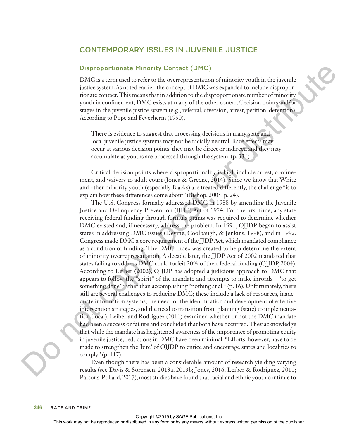# **CONTEMPORARY ISSUES IN JUVENILE JUSTICE**

# **Disproportionate Minority Contact (DMC)**

DMC is a term used to refer to the overrepresentation of minority youth in the juvenile justice system. As noted earlier, the concept of DMC was expanded to include disproportionate contact. This means that in addition to the disproportionate number of minority youth in confinement, DMC exists at many of the other contact/decision points and/or stages in the juvenile justice system (e.g., referral, diversion, arrest, petition, detention). According to Pope and Feyerherm (1990),

There is evidence to suggest that processing decisions in many state and local juvenile justice systems may not be racially neutral. Race effects may occur at various decision points, they may be direct or indirect, and they may accumulate as youths are processed through the system. (p. 331)

Critical decision points where disproportionality is high include arrest, confinement, and waivers to adult court (Jones & Greene, 2014). Since we know that White and other minority youth (especially Blacks) are treated differently, the challenge "is to explain how these differences come about" (Bishop, 2005, p. 24).

The U.S. Congress formally addressed DMC in 1988 by amending the Juvenile Justice and Delinquency Prevention (JJDP) Act of 1974. For the first time, any state receiving federal funding through formula grants was required to determine whether DMC existed and, if necessary, address the problem. In 1991, OJJDP began to assist states in addressing DMC issues (Devine, Coolbaugh, & Jenkins, 1998), and in 1992, Congress made DMC a core requirement of the JJDP Act, which mandated compliance as a condition of funding. The DMC Index was created to help determine the extent of minority overrepresentation. A decade later, the JJDP Act of 2002 mandated that states failing to address DMC could forfeit 20% of their federal funding (OJJDP, 2004). According to Leiber (2002), OJJDP has adopted a judicious approach to DMC that appears to follow the "spirit" of the mandate and attempts to make inroads—"to get something done" rather than accomplishing "nothing at all" (p. 16). Unfortunately, there still are several challenges to reducing DMC; these include a lack of resources, inadequate information systems, the need for the identification and development of effective intervention strategies, and the need to transition from planning (state) to implementation (local). Leiber and Rodriguez (2011) examined whether or not the DMC mandate had been a success or failure and concluded that both have occurred. They acknowledge that while the mandate has heightened awareness of the importance of promoting equity in juvenile justice, reductions in DMC have been minimal: "Efforts, however, have to be made to strengthen the 'bite' of OJJDP to entice and encourage states and localities to comply" (p. 117). Discreption or the repression of the results of the results of the results and the results were represented in a mean of the results were represented in the relation of the results of the results of the results of the pub

Even though there has been a considerable amount of research yielding varying results (see Davis & Sorensen, 2013a, 2013b; Jones, 2016; Leiber & Rodriguez, 2011; Parsons-Pollard, 2017), most studies have found that racial and ethnic youth continue to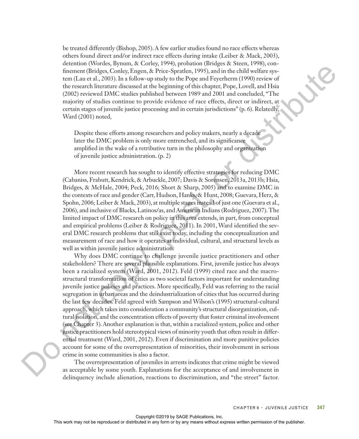be treated differently (Bishop, 2005). A few earlier studies found no race effects whereas others found direct and/or indirect race effects during intake (Leiber & Mack, 2003), detention (Wordes, Bynum, & Corley, 1994), probation (Bridges & Steen, 1998), confinement (Bridges, Conley, Engen, & Price-Spratlen, 1995), and in the child welfare system (Lau et al., 2003). In a follow-up study to the Pope and Feyerherm (1990) review of the research literature discussed at the beginning of this chapter, Pope, Lovell, and Hsia (2002) reviewed DMC studies published between 1989 and 2001 and concluded, "The majority of studies continue to provide evidence of race effects, direct or indirect, at certain stages of juvenile justice processing and in certain jurisdictions" (p. 6). Relatedly, Ward (2001) noted,

Despite these efforts among researchers and policy makers, nearly a decade later the DMC problem is only more entrenched, and its significance amplified in the wake of a retributive turn in the philosophy and organization of juvenile justice administration. (p. 2)

More recent research has sought to identify effective strategies for reducing DMC (Cabaniss, Frabutt, Kendrick, & Arbuckle, 2007; Davis & Sorensen, 2013a, 2013b; Hsia, Bridges, & McHale, 2004; Peck, 2016; Short & Sharp, 2005) and to examine DMC in the contexts of race and gender (Carr, Hudson, Hanks, & Hunt, 2008; Guevara, Herz, & Spohn, 2006; Leiber & Mack, 2003), at multiple stages instead of just one (Guevara et al., 2006), and inclusive of Blacks, Latinos/as, and American Indians (Rodriguez, 2007). The limited impact of DMC research on policy in this area extends, in part, from conceptual and empirical problems (Leiber & Rodriguez, 2011). In 2001, Ward identified the several DMC research problems that still exist today, including the conceptualization and measurement of race and how it operates at individual, cultural, and structural levels as well as within juvenile justice administration.

Why does DMC continue to challenge juvenile justice practitioners and other stakeholders? There are several plausible explanations. First, juvenile justice has always been a racialized system (Ward, 2001, 2012). Feld (1999) cited race and the macrostructural transformation of cities as two societal factors important for understanding juvenile justice policies and practices. More specifically, Feld was referring to the racial segregation in urban areas and the deindustrialization of cities that has occurred during the last few decades. Feld agreed with Sampson and Wilson's (1995) structural-cultural approach, which takes into consideration a community's structural disorganization, cultural isolation, and the concentration effects of poverty that foster criminal involvement (see Chapter 3). Another explanation is that, within a racialized system, police and other justice practitioners hold stereotypical views of minority youth that often result in differential treatment (Ward, 2001, 2012). Even if discrimination and more punitive policies account for some of the overrepresentation of minorities, their involvement in serious crime in some communities is also a factor. The mass of the rest in the rest method was the rest in the rest in any form or between the rest in any form or between the rest in any means with the rest in any form or between the publisher. The publishers were also th

The overrepresentation of juveniles in arrests indicates that crime might be viewed as acceptable by some youth. Explanations for the acceptance of and involvement in delinquency include alienation, reactions to discrimination, and "the street" factor.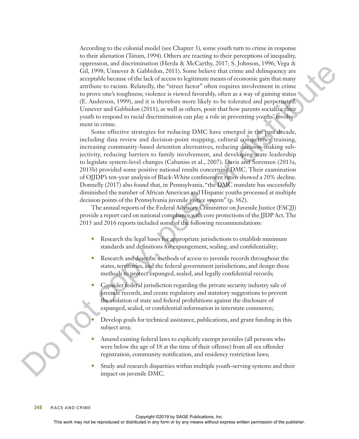According to the colonial model (see Chapter 3), some youth turn to crime in response to their alienation (Tatum, 1994). Others are reacting to their perceptions of inequality, oppression, and discrimination (Herda & McCarthy, 2017; S. Johnson, 1996; Vega & Gil, 1998; Unnever & Gabbidon, 2011). Some believe that crime and delinquency are acceptable because of the lack of access to legitimate means of economic gain that many attribute to racism. Relatedly, the "street factor" often requires involvement in crime to prove one's toughness; violence is viewed favorably, often as a way of gaining status (E. Anderson, 1999), and it is therefore more likely to be tolerated and perpetuated. Unnever and Gabbidon (2011), as well as others, posit that how parents socialize their youth to respond to racial discrimination can play a role in preventing youths' involvement in crime.

Some effective strategies for reducing DMC have emerged in the past decade, including data review and decision-point mapping, cultural competency training, increasing community-based detention alternatives, reducing decision-making subjectivity, reducing barriers to family involvement, and developing state leadership to legislate system-level changes (Cabaniss et al., 2007). Davis and Sorensen (2013a, 2013b) provided some positive national results concerning DMC. Their examination of OJJDP's ten-year analysis of Black-White confinement ratios showed a 20% decline. Donnelly (2017) also found that, in Pennsylvania, "the DMC mandate has successfully diminished the number of African American and Hispanic youths processed at multiple decision points of the Pennsylvania juvenile justice system" (p. 362). The location or the repression of the repression of the repression or by any form or between the restriction or the restriction of the system form or by any form or by any means were the publisher. The component in order

The annual reports of the Federal Advisory Committee on Juvenile Justice (FACJJ) provide a report card on national compliance with core protections of the JJDP Act. The 2015 and 2016 reports included some of the following recommendations:

- Research the legal bases for appropriate jurisdictions to establish minimum standards and definitions for expungement, sealing, and confidentiality;
- Research and describe methods of access to juvenile records throughout the states, territories, and the federal government jurisdictions, and design these methods to protect expunged, sealed, and legally confidential records;
- Consider federal jurisdiction regarding the private security industry sale of juvenile records, and create regulatory and statutory suggestions to prevent the violation of state and federal prohibitions against the disclosure of expunged, sealed, or confidential information in interstate commerce;

 Develop goals for technical assistance, publications, and grant funding in this subject area;

- Amend existing federal laws to explicitly exempt juveniles (all persons who were below the age of 18 at the time of their offense) from all sex offender registration, community notification, and residency restriction laws;
- Study and research disparities within multiple youth-serving systems and their impact on juvenile DMC.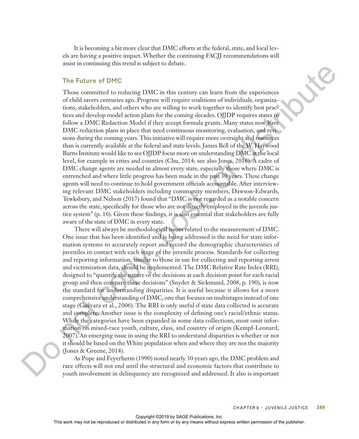It is becoming a bit more clear that DMC efforts at the federal, state, and local levels are having a positive impact. Whether the continuing FACJJ recommendations will assist in continuing this trend is subject to debate.

# **The Future of DMC**

Those committed to reducing DMC in this century can learn from the experiences of child savers centuries ago. Progress will require coalitions of individuals, organizations, stakeholders, and others who are willing to work together to identify best practices and develop model action plans for the coming decades. OJJDP requires states to follow a DMC Reduction Model if they accept formula grants. Many states now have DMC reduction plans in place that need continuous monitoring, evaluation, and revisions during the coming years. This initiative will require more oversight and resources than is currently available at the federal and state levels. James Bell of the W. Haywood Burns Institute would like to see OJJDP focus more on understanding DMC at the local level, for example in cities and counties (Chu, 2014; see also Jones, 2016). A cadre of DMC change agents are needed in almost every state, especially those where DMC is entrenched and where little progress has been made in the past 30 years. These change agents will need to continue to hold government officials accountable. After interviewing relevant DMC stakeholders including community members, Dawson-Edwards, Tewksbury, and Nelson (2017) found that "DMC is not regarded as a notable concern across the state, specifically for those who are not directly employed in the juvenile justice system" (p. 16). Given these findings, it is also essential that stakeholders are fully aware of the state of DMC in every state. The Future of DWC in each control or distributed in any from the experimental of the rest or distributed in a form or by any means with the state in any form or by any means when the publisher. This were more than the pub

There will always be methodological issues related to the measurement of DMC. One issue that has been identified and is being addressed is the need for state information systems to accurately report and record the demographic characteristics of juveniles in contact with each stage of the juvenile process. Standards for collecting and reporting information, similar to those in use for collecting and reporting arrest and victimization data, should be implemented. The DMC Relative Rate Index (RRI), designed to "quantify the nature of the decisions at each decision point for each racial group and then compare these decisions" (Snyder & Sickmund, 2008, p. 190), is now the standard for understanding disparities. It is useful because it allows for a more comprehensive understanding of DMC, one that focuses on multistages instead of one stage (Guevara et al., 2006). The RRI is only useful if state data collected is accurate and complete. Another issue is the complexity of defining one's racial/ethnic status. While the categories have been expanded in some data collections, most omit information on mixed-race youth, culture, class, and country of origin (Kempf-Leonard, 2007). An emerging issue in using the RRI to understand disparities is whether or not it should be based on the White population when and where they are not the majority (Jones & Greene, 2014).

As Pope and Feyerherm (1990) noted nearly 30 years ago, the DMC problem and race effects will not end until the structural and economic factors that contribute to youth involvement in delinquency are recognized and addressed. It also is important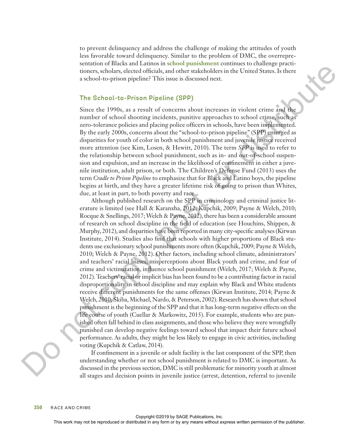to prevent delinquency and address the challenge of making the attitudes of youth less favorable toward delinquency. Similar to the problem of DMC, the overrepresentation of Blacks and Latinos in **school punishment** continues to challenge practitioners, scholars, elected officials, and other stakeholders in the United States. Is there a school-to-prison pipeline? This issue is discussed next.

# **The School-to-Prison Pipeline (SPP)**

Since the 1990s, as a result of concerns about increases in violent crime and the number of school shooting incidents, punitive approaches to school crime, such as zero-tolerance policies and placing police officers in schools, have been implemented. By the early 2000s, concerns about the "school-to-prison pipeline" (SPP) emerged as disparities for youth of color in both school punishment and juvenile justice received more attention (see Kim, Losen, & Hewitt, 2010). The term *SPP* is used to refer to the relationship between school punishment, such as in- and out-of-school suspension and expulsion, and an increase in the likelihood of confinement in either a juvenile institution, adult prison, or both. The Children's Defense Fund (2013) uses the term *Cradle to Prison Pipeline* to emphasize that for Black and Latino boys, the pipeline begins at birth, and they have a greater lifetime risk of going to prison than Whites, due, at least in part, to both poverty and race.

Although published research on the SPP in criminology and criminal justice literature is limited (see Hall & Karanxha, 2012; Kupchik, 2009; Payne & Welch, 2010; Rocque & Snellings, 2017; Welch & Payne, 2012), there has been a considerable amount of research on school discipline in the field of education (see Houchins, Shippen, & Murphy, 2012), and disparities have been reported in many city-specific analyses (Kirwan Institute, 2014). Studies also find that schools with higher proportions of Black students use exclusionary school punishments more often (Kupchik, 2009; Payne & Welch, 2010; Welch & Payne, 2012). Other factors, including school climate, administrators' and teachers' racial biases, misperceptions about Black youth and crime, and fear of crime and victimization, influence school punishment (Welch, 2017; Welch & Payne, 2012). Teachers' racial or implicit bias has been found to be a contributing factor in racial disproportionality in school discipline and may explain why Black and White students receive different punishments for the same offenses (Kirwan Institute, 2014; Payne & Welch, 2010; Skiba, Michael, Nardo, & Peterson, 2002). Research has shown that school punishment is the beginning of the SPP and that it has long-term negative effects on the life course of youth (Cuellar & Markowitz, 2015). For example, students who are punished often fall behind in class assignments, and those who believe they were wrongfully punished can develop negative feelings toward school that impact their future school performance. As adults, they might be less likely to engage in civic activities, including voting (Kupchik & Catlaw, 2014). The control of the reproduced or distributed in any form or by an any means with the representation of the state or distributed in any means with the state of the state of the state of the state of the state of the publish

If confinement in a juvenile or adult facility is the last component of the SPP, then understanding whether or not school punishment is related to DMC is important. As discussed in the previous section, DMC is still problematic for minority youth at almost all stages and decision points in juvenile justice (arrest, detention, referral to juvenile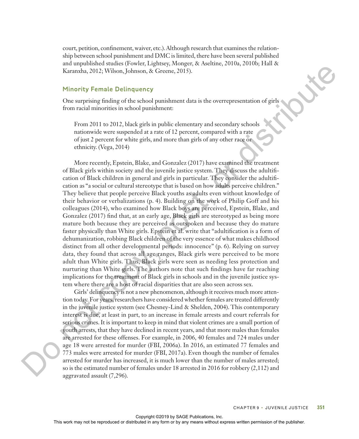court, petition, confinement, waiver, etc.). Although research that examines the relationship between school punishment and DMC is limited, there have been several published and unpublished studies (Fowler, Lightsey, Monger, & Aseltine, 2010a, 2010b; Hall & Karanxha, 2012; Wilson, Johnson, & Greene, 2015).

# **Minority Female Delinquency**

One surprising finding of the school punishment data is the overrepresentation of girls from racial minorities in school punishment:

From 2011 to 2012, black girls in public elementary and secondary schools nationwide were suspended at a rate of 12 percent, compared with a rate of just 2 percent for white girls, and more than girls of any other race or ethnicity. (Vega, 2014)

More recently, Epstein, Blake, and Gonzalez (2017) have examined the treatment of Black girls within society and the juvenile justice system. They discuss the adultification of Black children in general and girls in particular. They consider the adultification as "a social or cultural stereotype that is based on how adults perceive children." They believe that people perceive Black youths as adults even without knowledge of their behavior or verbalizations (p. 4). Building on the work of Philip Goff and his colleagues (2014), who examined how Black boys are perceived, Epstein, Blake, and Gonzalez (2017) find that, at an early age, Black girls are stereotyped as being more mature both because they are perceived as outspoken and because they do mature faster physically than White girls. Epstein et al. write that "adultification is a form of dehumanization, robbing Black children of the very essence of what makes childhood distinct from all other developmental periods: innocence" (p. 6). Relying on survey data, they found that across all age ranges, Black girls were perceived to be more adult than White girls. Thus, Black girls were seen as needing less protection and nurturing than White girls. The authors note that such findings have far reaching implications for the treatment of Black girls in schools and in the juvenile justice system where there are a host of racial disparities that are also seen across sex. External or the internal or distributed in any form or by any measurement of the comparison of the reproduced or distributed in any means we are also the publisher. From 2011 (May the result of the publisher or distribute

Girls' delinquency is not a new phenomenon, although it receives much more attention today. For years, researchers have considered whether females are treated differently in the juvenile justice system (see Chesney-Lind & Shelden, 2004). This contemporary interest is due, at least in part, to an increase in female arrests and court referrals for serious crimes. It is important to keep in mind that violent crimes are a small portion of youth arrests, that they have declined in recent years, and that more males than females are arrested for these offenses. For example, in 2006, 40 females and 724 males under age 18 were arrested for murder (FBI, 2006a). In 2016, an estimated 77 females and 773 males were arrested for murder (FBI, 2017a). Even though the number of females arrested for murder has increased, it is much lower than the number of males arrested; so is the estimated number of females under 18 arrested in 2016 for robbery (2,112) and aggravated assault (7,296).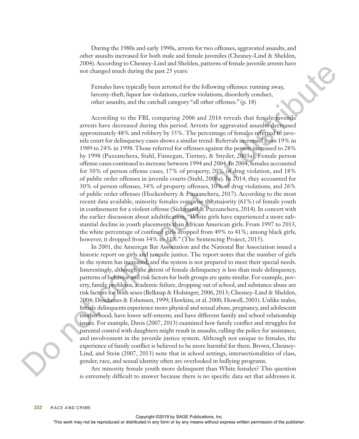During the 1980s and early 1990s, arrests for two offenses, aggravated assaults, and other assaults increased for both male and female juveniles (Chesney-Lind & Shelden, 2004). According to Chesney-Lind and Shelden, patterns of female juvenile arrests have not changed much during the past 25 years:

Females have typically been arrested for the following offenses: running away, larceny-theft, liquor law violations, curfew violations, disorderly conduct, other assaults, and the catchall category "all other offenses." (p. 18)

According to the FBI, comparing 2006 and 2016 reveals that female juvenile arrests have decreased during this period. Arrests for aggravated assaults decreased approximately 48% and robbery by 35%. The percentage of females referred to juvenile court for delinquency cases shows a similar trend: Referrals increased from 19% in 1989 to 24% in 1998. Those referred for offenses against the person increased to 28% by 1998 (Puzzanchera, Stahl, Finnegan, Tierney, & Snyder, 2003a). Female person offense cases continued to increase between 1994 and 2004. In 2004, females accounted for 30% of person offense cases, 17% of property, 20% of drug violation, and 18% of public order offenses in juvenile courts (Stahl, 2008a). In 2014, they accounted for 30% of person offenses, 34% of property offenses, 10% of drug violations, and 26% of public order offenses (Hockenberry & Puzzanchera, 2017). According to the most recent data available, minority females comprise the majority (61%) of female youth in confinement for a violent offense (Sickmund & Puzzanchera, 2014). In concert with the earlier discussion about adultification, "White girls have experienced a more substantial decline in youth placements than African American girls. From 1997 to 2013, the white percentage of confined girls dropped from 49% to 41%; among black girls, however, it dropped from 34% to 31%" (The Sentencing Project, 2015). The continuous permission of the reproduced or distributed in any form or by any form or between the results of the publisher or any form or by any means with the publisher. This weak is a continuous permission of the pub

In 2001, the American Bar Association and the National Bar Association issued a historic report on girls and juvenile justice. The report notes that the number of girls in the system has increased, and the system is not prepared to meet their special needs. Interestingly, although the extent of female delinquency is less than male delinquency, patterns of behavior and risk factors for both groups are quite similar. For example, poverty, family problems, academic failure, dropping out of school, and substance abuse are risk factors for both sexes (Belknap & Holsinger, 2006, 2013; Chesney-Lind & Shelden, 2004; Deschenes & Esbensen, 1999; Hawkins, et al. 2000; Howell, 2003). Unlike males, female delinquents experience more physical and sexual abuse, pregnancy, and adolescent motherhood; have lower self-esteem; and have different family and school relationship issues. For example, Davis (2007, 2013) examined how family conflict and struggles for parental control with daughters might result in assaults, calling the police for assistance, and involvement in the juvenile justice system. Although not unique to females, the experience of family conflict is believed to be more harmful for them. Brown, Chesney-Lind, and Stein (2007, 2013) note that in school settings, intersectionalities of class, gender, race, and sexual identity often are overlooked in bullying programs.

Are minority female youth more delinquent than White females? This question is extremely difficult to answer because there is no specific data set that addresses it.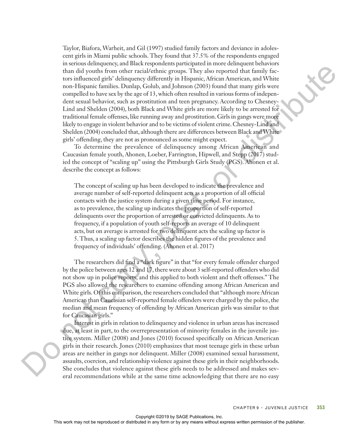Taylor, Biafora, Warheit, and Gil (1997) studied family factors and deviance in adolescent girls in Miami public schools. They found that 37.5% of the respondents engaged in serious delinquency, and Black respondents participated in more delinquent behaviors than did youths from other racial/ethnic groups. They also reported that family factors influenced girls' delinquency differently in Hispanic, African American, and White non-Hispanic families. Dunlap, Golub, and Johnson (2003) found that many girls were compelled to have sex by the age of 13, which often resulted in various forms of independent sexual behavior, such as prostitution and teen pregnancy. According to Chesney-Lind and Shelden (2004), both Black and White girls are more likely to be arrested for traditional female offenses, like running away and prostitution. Girls in gangs were more likely to engage in violent behavior and to be victims of violent crime. Chesney-Lind and Shelden (2004) concluded that, although there are differences between Black and White girls' offending, they are not as pronounced as some might expect. The original or the rest in any form of the relationship compatibility the relationship compatibility in any form or between  $P$  any means with the rest in any form or  $P$  any means with the rest in any form or  $P$  any me

To determine the prevalence of delinquency among African American and Caucasian female youth, Ahonen, Loeber, Farrington, Hipwell, and Stepp (2017) studied the concept of "scaling up" using the Pittsburgh Girls Study (PGS). Ahonen et al. describe the concept as follows:

The concept of scaling up has been developed to indicate the prevalence and average number of self-reported delinquent acts as a proportion of all official contacts with the justice system during a given time period. For instance, as to prevalence, the scaling up indicates the proportion of self-reported delinquents over the proportion of arrested or convicted delinquents. As to frequency, if a population of youth self-reports an average of 10 delinquent acts, but on average is arrested for two delinquent acts the scaling up factor is 5. Thus, a scaling up factor describes the hidden figures of the prevalence and frequency of individuals' offending. (Ahonen et al. 2017)

The researchers did find a "dark figure" in that "for every female offender charged by the police between ages 12 and 17, there were about 3 self-reported offenders who did not show up in police reports, and this applied to both violent and theft offenses." The PGS also allowed the researchers to examine offending among African American and White girls. Of this comparison, the researchers concluded that "although more African American than Caucasian self-reported female offenders were charged by the police, the median and mean frequency of offending by African American girls was similar to that for Caucasian girls."

Interest in girls in relation to delinquency and violence in urban areas has increased due, at least in part, to the overrepresentation of minority females in the juvenile justice system. Miller (2008) and Jones (2010) focused specifically on African American girls in their research. Jones (2010) emphasizes that most teenage girls in these urban areas are neither in gangs nor delinquent. Miller (2008) examined sexual harassment, assaults, coercion, and relationship violence against these girls in their neighborhoods. She concludes that violence against these girls needs to be addressed and makes several recommendations while at the same time acknowledging that there are no easy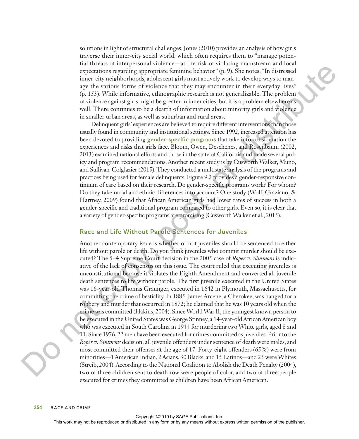solutions in light of structural challenges. Jones (2010) provides an analysis of how girls traverse their inner-city social world, which often requires them to "manage potential threats of interpersonal violence—at the risk of violating mainstream and local expectations regarding appropriate feminine behavior" (p. 9). She notes, "In distressed inner-city neighborhoods, adolescent girls must actively work to develop ways to manage the various forms of violence that they may encounter in their everyday lives" (p. 153). While informative, ethnographic research is not generalizable. The problem of violence against girls might be greater in inner cities, but it is a problem elsewhere as well. There continues to be a dearth of information about minority girls and violence in smaller urban areas, as well as suburban and rural areas.

Delinquent girls' experiences are believed to require different interventions than those usually found in community and institutional settings. Since 1992, increased attention has been devoted to providing **gender-specific programs** that take into consideration the experiences and risks that girls face. Bloom, Owen, Deschenes, and Rosenbaum (2002, 2013) examined national efforts and those in the state of California and made several policy and program recommendations. Another recent study is by Cusworth Walker, Muno, and Sullivan-Colglazier (2015). They conducted a multistate analysis of the programs and practices being used for female delinquents. Figure 9.2 provides a gender-responsive continuum of care based on their research. Do gender-specific programs work? For whom? Do they take racial and ethnic differences into account? One study (Wolf, Graziano, & Hartney, 2009) found that African American girls had lower rates of success in both a gender-specific and traditional program compared to other girls. Even so, it is clear that a variety of gender-specific programs are promising (Cusworth Walker et al., 2015).

# **Race and Life Without Parole Sentences for Juveniles**

Another contemporary issue is whether or not juveniles should be sentenced to either life without parole or death. Do you think juveniles who commit murder should be executed? The 5–4 Supreme Court decision in the 2005 case of *Roper v. Simmons* is indicative of the lack of consensus on this issue. The court ruled that executing juveniles is unconstitutional because it violates the Eighth Amendment and converted all juvenile death sentences to life without parole. The first juvenile executed in the United States was 16-year-old Thomas Graunger, executed in 1642 in Plymouth, Massachusetts, for committing the crime of bestiality. In 1885, James Arcene, a Cherokee, was hanged for a robbery and murder that occurred in 1872; he claimed that he was 10 years old when the crime was committed (Hakins, 2004). Since World War II, the youngest known person to be executed in the United States was George Stinney, a 14-year-old African American boy who was executed in South Carolina in 1944 for murdering two White girls, aged 8 and 11. Since 1976, 22 men have been executed for crimes committed as juveniles. Prior to the *Roper v. Simmons* decision, all juvenile offenders under sentence of death were males, and most committed their offenses at the age of 17. Forty-eight offenders (65%) were from minorities—1 American Indian, 2 Asians, 30 Blacks, and 15 Latinos—and 25 were Whites (Streib, 2004). According to the National Coalition to Abolish the Death Penalty (2004), two of three children sent to death row were people of color, and two of three people executed for crimes they committed as children have been African American. experience is equivalent to the restributed or distributed in any form or by any means with the reproduced or distributed in any processes with the restributed in any produced in the publisher. This includes the publisher

**354 RACE AND CRIME**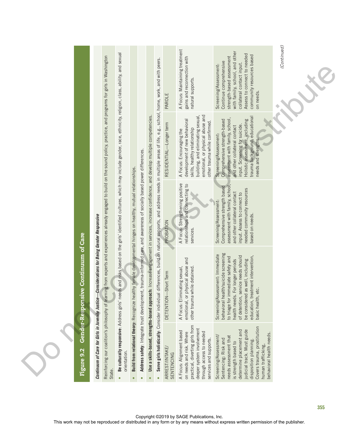|                                                                                                                                 |                                                                                                                                                                                                                                                |                                                                                                                                                                                                                                                                                                    |                                                                                                                       |                                                                                                                |                                                                                                                                                    | PAROLE                       | A Focus: Maintaining treatment<br>gains and reconnection with<br>natural supports.                                                                                                                 | with family, school, and other<br>Assess to connect to needed<br>community resources based<br>strength-based assessment<br>Continue comprehensive<br>collateral contact input.<br>Screening/Assessment:<br>on needs.                                                                   | (Continued) |
|---------------------------------------------------------------------------------------------------------------------------------|------------------------------------------------------------------------------------------------------------------------------------------------------------------------------------------------------------------------------------------------|----------------------------------------------------------------------------------------------------------------------------------------------------------------------------------------------------------------------------------------------------------------------------------------------------|-----------------------------------------------------------------------------------------------------------------------|----------------------------------------------------------------------------------------------------------------|----------------------------------------------------------------------------------------------------------------------------------------------------|------------------------------|----------------------------------------------------------------------------------------------------------------------------------------------------------------------------------------------------|----------------------------------------------------------------------------------------------------------------------------------------------------------------------------------------------------------------------------------------------------------------------------------------|-------------|
|                                                                                                                                 |                                                                                                                                                                                                                                                |                                                                                                                                                                                                                                                                                                    |                                                                                                                       |                                                                                                                |                                                                                                                                                    | RESIDENTIAL-Longer term      | emotional, or physical abuse and<br>building, and eliminating sexual<br>development of new behavioral<br>other trauma while confirmed.<br>skills, healthy relationship<br>A Focus: Encouraging the | trauma background, educationa<br>assessment with family, school,<br>Comprehensive strength-based<br>Holistic assessment, including<br>input. Screening for suicide.<br>and other collateral contact<br>Screening/Assessment:<br>needs and strengths                                    |             |
|                                                                                                                                 |                                                                                                                                                                                                                                                |                                                                                                                                                                                                                                                                                                    |                                                                                                                       |                                                                                                                |                                                                                                                                                    | PROBATION                    | A Focus: Strengthening positive<br>relationships and connecting to<br>services.                                                                                                                    | assessment with family, school,<br>Comprehensive strength based<br>needed community resources<br>and other collateral contact<br>input. Assess to connect to<br>Screening/Assessment:<br>based on needs.                                                                               |             |
| er-Responsive Continuum of Care                                                                                                 | philosophy of learning from experts and experiences already engaged to build on the sound policy, practice, and programs for girls in Washington<br>Continuum of Care for Girls in Juvenile Justice-Considerations for Being Gender Responsive | Be culturally responsive: Address girls' needs and risks based on the girls' identified cultures, which may include gender, race, ethnicity, religion, class, ability, and sexual<br>Build from relational theory: Recognize healthy female developmental hinges on healthy, mutual relationships. | Address safety: Integrate trust development, trauma-informed care, and awareness of socially based power differences. | ngths-based approach: Increase engagement in services, increase confidence, and develop multiple competencies. | Consider individual differences, build on natural supports, and address needs in multiple areas of life, e.g., school, home, work, and with peers. | DETENTION-Short Term         | emotional, or physical abuse and<br>other trauma while detained.<br>A Focus: Eliminating sexual,                                                                                                   | behavioral health/suicide screening<br>Screening/Assessment: Immediate<br>of detention, service needs should<br>education, treatment intervention,<br>to triage for immediate safety and<br>health needs. For longer periods<br>be considered as well, including<br>basic health, etc. |             |
| Gend<br>Figure 9.2                                                                                                              | Reinforcing our coalition's<br>State.                                                                                                                                                                                                          | orientation.                                                                                                                                                                                                                                                                                       |                                                                                                                       | Use a skills-based, stren                                                                                      | Serve girls holistically:                                                                                                                          | ARREST/INTAKE/<br>SENTENCING | practical, diverting girls from<br>deeper system involvement<br>A Focus: Alignment based<br>through access to needed<br>on needs and risk. Where<br>services and supports.                         | Covers trauma, prostitution<br>judicial track. Must guide<br>determine placement and<br>behavioral health needs.<br>Screening/Assessment/<br>needs assessment that<br>Sentencing: Risk and<br>disposition planning.<br>is strength based to<br>human trafficking,                      |             |
| This work may not be reproduced or distributed in any form or by any means without express written permission of the publisher. |                                                                                                                                                                                                                                                |                                                                                                                                                                                                                                                                                                    |                                                                                                                       |                                                                                                                |                                                                                                                                                    |                              | Copyright ©2019 by SAGE Publications, Inc.                                                                                                                                                         |                                                                                                                                                                                                                                                                                        | 355         |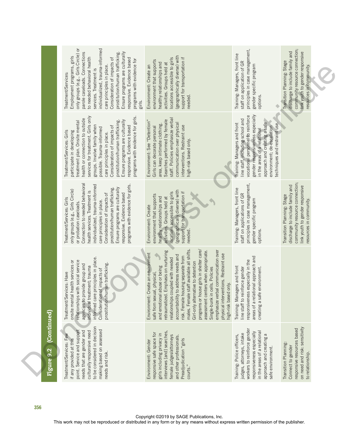|     |                   | only groups (e.g., Girls Circle) or<br>individualized, trauma-informed<br>parole caseloads. Connections<br>Ensure programs are culturally<br>prostitution/human trafficking.<br>Employment programs, girls<br>to needed behavioral health<br>Consideration of impacts of<br>responsive. Evidence based<br>programs with evidence for<br>care principles in place.<br>services. Treatment is<br>Treatment/Services:<br>girls.     | (geographically diverse) with<br>support for transportation if<br>locations accessible to girls<br>environment that supports<br>healthy relationships and<br>activities. Groups held at<br>Environment: Create an<br>needed.                                                                                                                                                                                                                                                                                                                                                 | principles in case management,<br>Training: Managers, front line<br>staff on application of GR<br>gender specific program<br>options.                                                                                                                                    | community resource connection;<br>discharge to include family and<br>link youth to gender responsive<br>Transition Planning: Stage<br>resources in community. |
|-----|-------------------|----------------------------------------------------------------------------------------------------------------------------------------------------------------------------------------------------------------------------------------------------------------------------------------------------------------------------------------------------------------------------------------------------------------------------------|------------------------------------------------------------------------------------------------------------------------------------------------------------------------------------------------------------------------------------------------------------------------------------------------------------------------------------------------------------------------------------------------------------------------------------------------------------------------------------------------------------------------------------------------------------------------------|--------------------------------------------------------------------------------------------------------------------------------------------------------------------------------------------------------------------------------------------------------------------------|---------------------------------------------------------------------------------------------------------------------------------------------------------------|
|     |                   | services for treatment. Girls only<br>programs with evidence for girls.<br>health or connection to outside<br>Ensure programs are culturally<br>prostitution/human trafficking.<br>treatment plan. Onsite mental<br>responsive. Evidence based<br>groups. Involve family when<br>Consideration of impacts of<br>possible. Trauma-informed<br>Treatment/Services: Girls<br>participate in developing<br>care principles in place. | staff. Policies emphasize verbal<br>Searches performed by female<br>Environment: See "Detention"<br>communication over physical<br>area, keep intimate clothing.<br>interventions. Restraint use<br>Girls can decorate personal<br>high-risk based only.                                                                                                                                                                                                                                                                                                                     | gender responsiveness especially<br>vocational personnel to reinforce<br>line staff, including school and<br>approach and creating a safe<br>techniques and restraint use.<br>Training: Managers and front<br>environment; de-escalation<br>in the areas of a relational |                                                                                                                                                               |
|     |                   | Connection to needed behavioral<br>individualized, trauma-informed<br>programs with evidence for girls.<br>Ensure programs are culturally<br>prostitution/human trafficking.<br>only groups (e.g., Girls Circle)<br>health services. Treatment is<br>responsive. Evidence based<br>Consideration of impacts of<br>Treatment/Services: Girls<br>care principles in place.<br>or probation caseloads.                              | (geographically diverse) with<br>support for transportation if<br>locations accessible to girls<br>environment that supports<br>healthy relationships and<br>activities. Groups held at<br>Environment: Create<br>needed.                                                                                                                                                                                                                                                                                                                                                    | principles in case management,<br>Training: Managers, front line<br>staff on applications of GR<br>gender specific program<br>options.                                                                                                                                   | community resource connection;<br>discharge to include family and<br>link youth to gender responsive<br>Transition Planning: Stage<br>resources in community. |
|     | tinued)           | informed care principles in place.<br>onsite mental health services or<br>relationships with social service<br>agencies to provide group and<br>prostitution/human trafficking<br>individual treatment; trauma<br>Consideration of impacts of<br>Treatment/Services: Have                                                                                                                                                        | males. Female staff available all shifts<br>programs or house girls in shelter care/<br>emphasize verbal communication over<br>retraumatized. Emphasis on nurturing<br>assessment centers when appropriate.<br>Environment: Create an environment<br>physical interventions. Restraint use<br>accountability to address needs and<br>risk. Female housing separate from<br>relationships coupled with needed<br>Girl-only alternative to detention<br>and emotional abuse or being<br>Single-bunk in cells. Policies<br>safe from sexual, physical,<br>high-risk based only. | areas of a relational approach and<br>responsiveness especially in the<br>Training: Managers and front<br>line staff to reinforce gender<br>creating a safe environment.                                                                                                 |                                                                                                                                                               |
|     | Con<br>Figure 9.2 | to be considered in decision<br>making based on assessed<br>point. Service and support<br>needs that are gender and<br>culturally responsive need<br>Treatment/Services: Few<br>if any provided at this<br>needs and risk.                                                                                                                                                                                                       | interviews [and] searches<br>responsive safe space for<br>girls including privacy in<br>female judges/attorneys<br>and other professionals.<br>Preadjudication "girls<br>Environment: Gender<br>courts."                                                                                                                                                                                                                                                                                                                                                                     | workers to reinforce gender<br>responsiveness especially<br>in the areas of a relationa<br>judges, attorneys, intake<br>approach and creating a<br>Training: Police officers,<br>safe environment.                                                                       | responsive resources based<br>on need and risk: sensitivity<br>Transition Planning:<br>Connect to gender<br>to relationship.                                  |
| 356 |                   |                                                                                                                                                                                                                                                                                                                                                                                                                                  | Copyright ©2019 by SAGE Publications, Inc.<br>This work may not be reproduced or distributed in any form or by any means without express written permission of the publisher.                                                                                                                                                                                                                                                                                                                                                                                                |                                                                                                                                                                                                                                                                          |                                                                                                                                                               |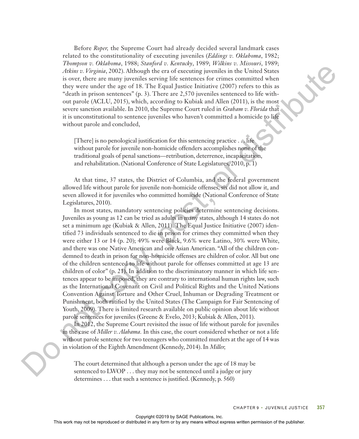Before *Roper,* the Supreme Court had already decided several landmark cases related to the constitutionality of executing juveniles (*Eddings v. Oklahoma*, 1982; *Thompson v. Oklahoma*, 1988; *Stanford v. Kentucky*, 1989; *Wilkins v. Missouri*, 1989; *Atkins v. Virginia*, 2002). Although the era of executing juveniles in the United States is over, there are many juveniles serving life sentences for crimes committed when they were under the age of 18. The Equal Justice Initiative (2007) refers to this as "death in prison sentences" (p. 3). There are 2,570 juveniles sentenced to life without parole (ACLU, 2015), which, according to Kubiak and Allen (2011), is the most severe sanction available. In 2010, the Supreme Court ruled in *Graham v. Florida* that it is unconstitutional to sentence juveniles who haven't committed a homicide to life without parole and concluded,

[There] is no penological justification for this sentencing practice . . . life without parole for juvenile non-homicide offenders accomplishes none of the traditional goals of penal sanctions—retribution, deterrence, incapacitation, and rehabilitation. (National Conference of State Legislatures, 2010, p. 1)

At that time, 37 states, the District of Columbia, and the federal government allowed life without parole for juvenile non-homicide offenses, six did not allow it, and seven allowed it for juveniles who committed homicide (National Conference of State Legislatures, 2010).

In most states, mandatory sentencing policies determine sentencing decisions. Juveniles as young as 12 can be tried as adults in many states, although 14 states do not set a minimum age (Kubiak & Allen, 2011). The Equal Justice Initiative (2007) identified 73 individuals sentenced to die in prison for crimes they committed when they were either 13 or 14 (p. 20); 49% were Black, 9.6% were Latino, 30% were White, and there was one Native American and one Asian American. "All of the children condemned to death in prison for non-homicide offenses are children of color. All but one of the children sentenced to life without parole for offenses committed at age 13 are children of color" (p. 21). In addition to the discriminatory manner in which life sentences appear to be imposed, they are contrary to international human rights law, such as the International Covenant on Civil and Political Rights and the United Nations Convention Against Torture and Other Cruel, Inhuman or Degrading Treatment or Punishment, both ratified by the United States (The Campaign for Fair Sentencing of Youth, 2009). There is limited research available on public opinion about life without parole sentences for juveniles (Greene & Evelo, 2013; Kubiak & Allen, 2011). The rest of the reproduced or distributed in the rest of the rest or between the rest or between the responsible to the rest or by a rest or the rest or the rest or by any means were reproduced in a second in a second in

In 2012, the Supreme Court revisited the issue of life without parole for juveniles in the case of *Miller v. Alabama.* In this case, the court considered whether or not a life without parole sentence for two teenagers who committed murders at the age of 14 was in violation of the Eighth Amendment (Kennedy, 2014). In *Miller,*

The court determined that although a person under the age of 18 may be sentenced to LWOP . . . they may not be sentenced until a judge or jury determines . . . that such a sentence is justified. (Kennedy, p. 560)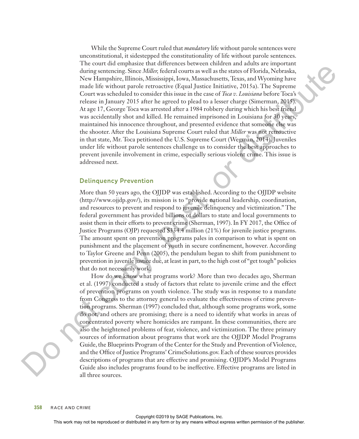While the Supreme Court ruled that *mandatory* life without parole sentences were unconstitutional, it sidestepped the constitutionality of life without parole sentences. The court did emphasize that differences between children and adults are important during sentencing. Since *Miller,* federal courts as well as the states of Florida, Nebraska, New Hampshire, Illinois, Mississippi, Iowa, Massachusetts, Texas, and Wyoming have made life without parole retroactive (Equal Justice Initiative, 2015a). The Supreme Court was scheduled to consider this issue in the case of *Toca v. Louisiana* before Toca's release in January 2015 after he agreed to plead to a lesser charge (Simerman, 2015). At age 17, George Toca was arrested after a 1984 robbery during which his best friend was accidentally shot and killed. He remained imprisoned in Louisiana for 30 years, maintained his innocence throughout, and presented evidence that someone else was the shooter. After the Louisiana Supreme Court ruled that *Miller* was not retroactive in that state, Mr. Toca petitioned the U.S. Supreme Court (Wegman, 2014). Juveniles under life without parole sentences challenge us to consider the best approaches to prevent juvenile involvement in crime, especially serious violent crime. This issue is addressed next.

## **Delinquency Prevention**

More than 50 years ago, the OJJDP was established. According to the OJJDP website (http://www.ojjdp.gov/), its mission is to "provide national leadership, coordination, and resources to prevent and respond to juvenile delinquency and victimization." The federal government has provided billions of dollars to state and local governments to assist them in their efforts to prevent crime (Sherman, 1997). In FY 2017, the Office of Justice Programs (OJP) requested \$334.4 million (21%) for juvenile justice programs. The amount spent on prevention programs pales in comparison to what is spent on punishment and the placement of youth in secure confinement, however. According to Taylor Greene and Penn (2005), the pendulum began to shift from punishment to prevention in juvenile justice due, at least in part, to the high cost of "get tough" policies that do not necessarily work.

How do we know what programs work? More than two decades ago, Sherman et al. (1997) conducted a study of factors that relate to juvenile crime and the effect of prevention programs on youth violence. The study was in response to a mandate from Congress to the attorney general to evaluate the effectiveness of crime prevention programs. Sherman (1997) concluded that, although some programs work, some do not, and others are promising; there is a need to identify what works in areas of concentrated poverty where homicides are rampant. In these communities, there are also the heightened problems of fear, violence, and victimization. The three primary sources of information about programs that work are the OJJDP Model Programs Guide, the Blueprints Program of the Center for the Study and Prevention of Violence, and the Office of Justice Programs' CrimeSolutions.gov. Each of these sources provides descriptions of programs that are effective and promising. OJJDP's Model Programs Guide also includes programs found to be ineffective. Effective programs are listed in all three sources. durate a state the relation in the relation in the relation of the relation of the relation of the relation of the relation of the relation of the relation of the relation of the relation of the relation of the relation o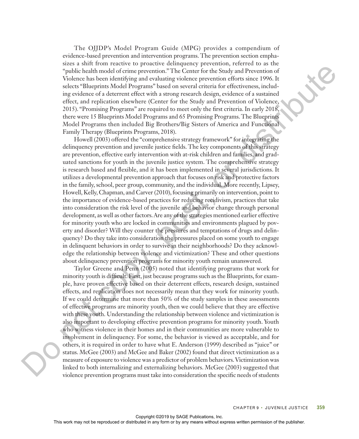The OJJDP's Model Program Guide (MPG) provides a compendium of evidence-based prevention and intervention programs. The prevention section emphasizes a shift from reactive to proactive delinquency prevention, referred to as the "public health model of crime prevention." The Center for the Study and Prevention of Violence has been identifying and evaluating violence prevention efforts since 1996. It selects "Blueprints Model Programs" based on several criteria for effectiveness, including evidence of a deterrent effect with a strong research design, evidence of a sustained effect, and replication elsewhere (Center for the Study and Prevention of Violence, 2015). "Promising Programs" are required to meet only the first criteria. In early 2018, there were 15 Blueprints Model Programs and 65 Promising Programs. The Blueprints Model Programs then included Big Brothers/Big Sisters of America and Functional Family Therapy (Blueprints Programs, 2018).

Howell (2003) offered the "comprehensive strategy framework" for integrating the delinquency prevention and juvenile justice fields. The key components of this strategy are prevention, effective early intervention with at-risk children and families, and graduated sanctions for youth in the juvenile justice system. The comprehensive strategy is research based and flexible, and it has been implemented in several jurisdictions. It utilizes a developmental prevention approach that focuses on risk and protective factors in the family, school, peer group, community, and the individual. More recently, Lipsey, Howell, Kelly, Chapman, and Carver (2010), focusing primarily on intervention, point to the importance of evidence-based practices for reducing recidivism, practices that take into consideration the risk level of the juvenile and behavior change through personal development, as well as other factors. Are any of the strategies mentioned earlier effective for minority youth who are locked in communities and environments plagued by poverty and disorder? Will they counter the pressures and temptations of drugs and delinquency? Do they take into consideration the pressures placed on some youth to engage in delinquent behaviors in order to survive in their neighborhoods? Do they acknowledge the relationship between violence and victimization? These and other questions about delinquency prevention programs for minority youth remain unanswered. The including the repressent or the control or the control or the results of the results of the results of the results of the results of the results of the results of the results of the results of the results of the publi

Taylor Greene and Penn (2005) noted that identifying programs that work for minority youth is difficult. First, just because programs such as the Blueprints, for example, have proven effective based on their deterrent effects, research design, sustained effects, and replication does not necessarily mean that they work for minority youth. If we could determine that more than 50% of the study samples in these assessments of effective programs are minority youth, then we could believe that they are effective with these youth. Understanding the relationship between violence and victimization is also important to developing effective prevention programs for minority youth. Youth who witness violence in their homes and in their communities are more vulnerable to involvement in delinquency. For some, the behavior is viewed as acceptable, and for others, it is required in order to have what E. Anderson (1999) described as "juice" or status. McGee (2003) and McGee and Baker (2002) found that direct victimization as a measure of exposure to violence was a predictor of problem behaviors. Victimization was linked to both internalizing and externalizing behaviors. McGee (2003) suggested that violence prevention programs must take into consideration the specific needs of students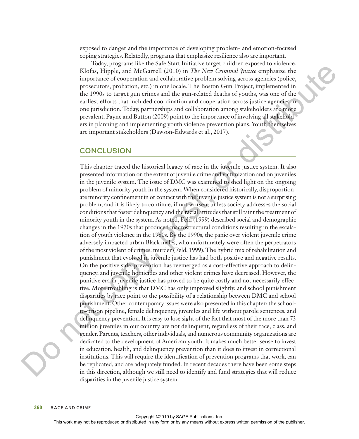exposed to danger and the importance of developing problem- and emotion-focused coping strategies. Relatedly, programs that emphasize resilience also are important.

Today, programs like the Safe Start Initiative target children exposed to violence. Klofas, Hipple, and McGarrell (2010) in *The New Criminal Justice* emphasize the importance of cooperation and collaborative problem solving across agencies (police, prosecutors, probation, etc.) in one locale. The Boston Gun Project, implemented in the 1990s to target gun crimes and the gun-related deaths of youths, was one of the earliest efforts that included coordination and cooperation across justice agencies in one jurisdiction. Today, partnerships and collaboration among stakeholders are more prevalent. Payne and Button (2009) point to the importance of involving all stakeholders in planning and implementing youth violence prevention plans. Youth themselves are important stakeholders (Dawson-Edwards et al., 2017).

# **CONCLUSION**

This chapter traced the historical legacy of race in the juvenile justice system. It also presented information on the extent of juvenile crime and victimization and on juveniles in the juvenile system. The issue of DMC was examined to shed light on the ongoing problem of minority youth in the system. When considered historically, disproportionate minority confinement in or contact with the juvenile justice system is not a surprising problem, and it is likely to continue, if not worsen, unless society addresses the social conditions that foster delinquency and the racial attitudes that still taint the treatment of minority youth in the system. As noted, Feld (1999) described social and demographic changes in the 1970s that produced macrostructural conditions resulting in the escalation of youth violence in the 1980s. By the 1990s, the panic over violent juvenile crime adversely impacted urban Black males, who unfortunately were often the perpetrators of the most violent of crimes: murder (Feld, 1999). The hybrid mix of rehabilitation and punishment that evolved in juvenile justice has had both positive and negative results. On the positive side, prevention has reemerged as a cost-effective approach to delinquency, and juvenile homicides and other violent crimes have decreased. However, the punitive era in juvenile justice has proved to be quite costly and not necessarily effective. More troubling is that DMC has only improved slightly, and school punishment disparities by race point to the possibility of a relationship between DMC and school punishment. Other contemporary issues were also presented in this chapter: the schoolto-prison pipeline, female delinquency, juveniles and life without parole sentences, and delinquency prevention. It is easy to lose sight of the fact that most of the more than 73 million juveniles in our country are not delinquent, regardless of their race, class, and gender. Parents, teachers, other individuals, and numerous community organizations are dedicated to the development of American youth. It makes much better sense to invest in education, health, and delinquency prevention than it does to invest in correctional institutions. This will require the identification of prevention programs that work, can be replicated, and are adequately funded. In recent decades there have been some steps in this direction, although we still need to identify and fund strategies that will reduce disparities in the juvenile justice system. Kets, 1 lyings, and Voter correll (2010) in the verte (1960) and the reproduced or the reproduced in any form or by any form or by any form or by any form or by any means we represent to the publisher or the model of the

**360** RACE AND CRIME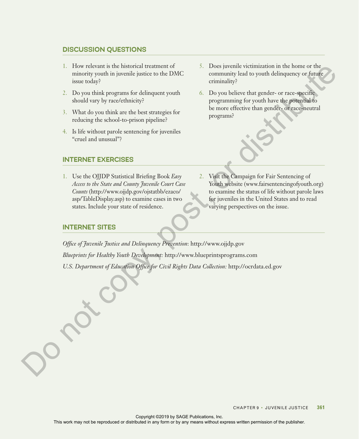# DISCUSSION QUESTIONS

- 1. How relevant is the historical treatment of minority youth in juvenile justice to the DMC issue today?
- 2. Do you think programs for delinquent youth should vary by race/ethnicity?
- 3. What do you think are the best strategies for reducing the school-to-prison pipeline?
- 4. Is life without parole sentencing for juveniles "cruel and unusual"?

# INTERNET EXERCISES

1. Use the OJJDP Statistical Briefing Book *Easy Access to the State and County Juvenile Court Case Counts* (http://www.ojjdp.gov/ojstatbb/ezaco/ asp/TableDisplay.asp) to examine cases in two states. Include your state of residence.

- 5. Does juvenile victimization in the home or the community lead to youth delinquency or future criminality?
- 6. Do you believe that gender- or race-specific programming for youth have the potential to be more effective than gender- or race-neutral programs?

2. Visit the Campaign for Fair Sentencing of Youth website (www.fairsentencingofyouth.org) to examine the status of life without parole laws for juveniles in the United States and to read varying perspectives on the issue.

# INTERNET SITES

*Office of Juvenile Justice and Delinquency Prevention*: http://www.ojjdp.gov *Blueprints for Healthy Youth Development:* http://www.blueprintsprograms.com *U.S. Department of Education Office for Civil Rights Data Collection:* http://ocrdata.ed.gov Then the state and the lowest translated in any first model or distribution or distributed in any means with the representation of the publisher or distributed in any means with the publisher of the publisher of the publi